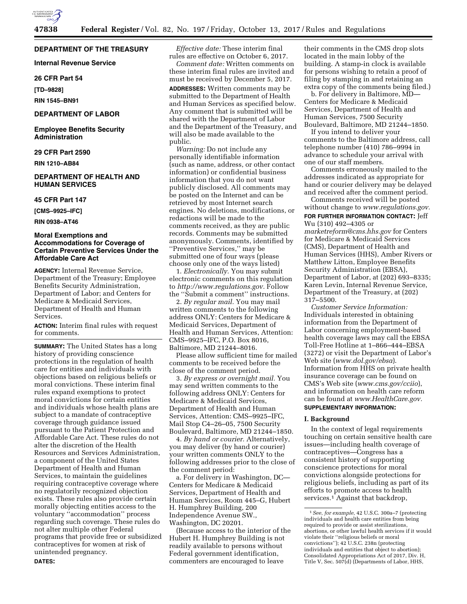

## **DEPARTMENT OF THE TREASURY**

**Internal Revenue Service** 

#### **26 CFR Part 54**

**[TD–9828]** 

**RIN 1545–BN91** 

### **DEPARTMENT OF LABOR**

**Employee Benefits Security Administration** 

# **29 CFR Part 2590**

**RIN 1210–AB84** 

# **DEPARTMENT OF HEALTH AND HUMAN SERVICES**

### **45 CFR Part 147**

**[CMS–9925–IFC]** 

**RIN 0938–AT46** 

### **Moral Exemptions and Accommodations for Coverage of Certain Preventive Services Under the Affordable Care Act**

**AGENCY:** Internal Revenue Service, Department of the Treasury; Employee Benefits Security Administration, Department of Labor; and Centers for Medicare & Medicaid Services, Department of Health and Human Services.

**ACTION:** Interim final rules with request for comments.

**SUMMARY:** The United States has a long history of providing conscience protections in the regulation of health care for entities and individuals with objections based on religious beliefs or moral convictions. These interim final rules expand exemptions to protect moral convictions for certain entities and individuals whose health plans are subject to a mandate of contraceptive coverage through guidance issued pursuant to the Patient Protection and Affordable Care Act. These rules do not alter the discretion of the Health Resources and Services Administration, a component of the United States Department of Health and Human Services, to maintain the guidelines requiring contraceptive coverage where no regulatorily recognized objection exists. These rules also provide certain morally objecting entities access to the voluntary ''accommodation'' process regarding such coverage. These rules do not alter multiple other Federal programs that provide free or subsidized contraceptives for women at risk of unintended pregnancy. **DATES:** 

*Effective date:* These interim final rules are effective on October 6, 2017.

*Comment date:* Written comments on these interim final rules are invited and must be received by December 5, 2017.

**ADDRESSES:** Written comments may be submitted to the Department of Health and Human Services as specified below. Any comment that is submitted will be shared with the Department of Labor and the Department of the Treasury, and will also be made available to the public.

*Warning:* Do not include any personally identifiable information (such as name, address, or other contact information) or confidential business information that you do not want publicly disclosed. All comments may be posted on the Internet and can be retrieved by most Internet search engines. No deletions, modifications, or redactions will be made to the comments received, as they are public records. Comments may be submitted anonymously. Comments, identified by ''Preventive Services,'' may be submitted one of four ways (please choose only one of the ways listed)

1. *Electronically.* You may submit electronic comments on this regulation to *[http://www.regulations.gov.](http://www.regulations.gov)* Follow the ''Submit a comment'' instructions.

2. *By regular mail.* You may mail written comments to the following address ONLY: Centers for Medicare & Medicaid Services, Department of Health and Human Services, Attention: CMS–9925–IFC, P.O. Box 8016, Baltimore, MD 21244–8016.

Please allow sufficient time for mailed comments to be received before the close of the comment period.

3. *By express or overnight mail.* You may send written comments to the following address ONLY: Centers for Medicare & Medicaid Services, Department of Health and Human Services, Attention: CMS–9925–IFC, Mail Stop C4–26–05, 7500 Security Boulevard, Baltimore, MD 21244–1850.

4. *By hand or courier.* Alternatively, you may deliver (by hand or courier) your written comments ONLY to the following addresses prior to the close of the comment period:

a. For delivery in Washington, DC— Centers for Medicare & Medicaid Services, Department of Health and Human Services, Room 445–G, Hubert H. Humphrey Building, 200 Independence Avenue SW., Washington, DC 20201.

(Because access to the interior of the Hubert H. Humphrey Building is not readily available to persons without Federal government identification, commenters are encouraged to leave

their comments in the CMS drop slots located in the main lobby of the building. A stamp-in clock is available for persons wishing to retain a proof of filing by stamping in and retaining an extra copy of the comments being filed.)

b. For delivery in Baltimore, MD— Centers for Medicare & Medicaid Services, Department of Health and Human Services, 7500 Security Boulevard, Baltimore, MD 21244–1850.

If you intend to deliver your comments to the Baltimore address, call telephone number (410) 786–9994 in advance to schedule your arrival with one of our staff members.

Comments erroneously mailed to the addresses indicated as appropriate for hand or courier delivery may be delayed and received after the comment period.

Comments received will be posted without change to *[www.regulations.gov.](http://www.regulations.gov)*  **FOR FURTHER INFORMATION CONTACT:** Jeff

Wu (310) 492–4305 or *[marketreform@cms.hhs.gov](mailto:marketreform@cms.hhs.gov)* for Centers for Medicare & Medicaid Services (CMS), Department of Health and Human Services (HHS), Amber Rivers or Matthew Litton, Employee Benefits Security Administration (EBSA), Department of Labor, at (202) 693–8335; Karen Levin, Internal Revenue Service, Department of the Treasury, at (202) 317–5500.

*Customer Service Information:*  Individuals interested in obtaining information from the Department of Labor concerning employment-based health coverage laws may call the EBSA Toll-Free Hotline at 1–866–444–EBSA (3272) or visit the Department of Labor's Web site (*[www.dol.gov/ebsa](http://www.dol.gov/ebsa)*). Information from HHS on private health insurance coverage can be found on CMS's Web site (*[www.cms.gov/cciio](http://www.cms.gov/cciio)*), and information on health care reform can be found at *[www.HealthCare.gov.](http://www.HealthCare.gov)* 

# **SUPPLEMENTARY INFORMATION:**

## **I. Background**

In the context of legal requirements touching on certain sensitive health care issues—including health coverage of contraceptives—Congress has a consistent history of supporting conscience protections for moral convictions alongside protections for religious beliefs, including as part of its efforts to promote access to health services.<sup>1</sup> Against that backdrop,

<sup>1</sup>*See, for example,* 42 U.S.C. 300a–7 (protecting individuals and health care entities from being required to provide or assist sterilizations, abortions, or other lawful health services if it would violate their ''religious beliefs or moral convictions''); 42 U.S.C. 238n (protecting individuals and entities that object to abortion); Consolidated Appropriations Act of 2017, Div. H, Title V, Sec. 507(d) (Departments of Labor, HHS,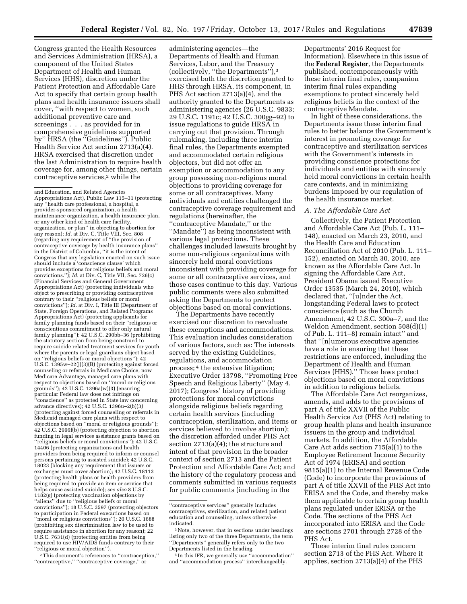Congress granted the Health Resources and Services Administration (HRSA), a component of the United States Department of Health and Human Services (HHS), discretion under the Patient Protection and Affordable Care Act to specify that certain group health plans and health insurance issuers shall cover, ''with respect to women, such additional preventive care and screenings . . . as provided for in comprehensive guidelines supported by'' HRSA (the ''Guidelines''). Public Health Service Act section 2713(a)(4). HRSA exercised that discretion under the last Administration to require health coverage for, among other things, certain contraceptive services,2 while the

2This document's references to ''contraception,'' ''contraceptive,'' ''contraceptive coverage,'' or

The Departments have recently exercised our discretion to reevaluate these exemptions and accommodations. This evaluation includes consideration of various factors, such as: The interests served by the existing Guidelines, regulations, and accommodation process; 4 the extensive litigation; Executive Order 13798, ''Promoting Free Speech and Religious Liberty'' (May 4, 2017); Congress' history of providing protections for moral convictions alongside religious beliefs regarding certain health services (including contraception, sterilization, and items or services believed to involve abortion); the discretion afforded under PHS Act section 2713(a)(4); the structure and intent of that provision in the broader context of section 2713 and the Patient Protection and Affordable Care Act; and the history of the regulatory process and comments submitted in various requests for public comments (including in the

Departments' 2016 Request for Information). Elsewhere in this issue of the **Federal Register**, the Departments published, contemporaneously with these interim final rules, companion interim final rules expanding exemptions to protect sincerely held religious beliefs in the context of the contraceptive Mandate.

In light of these considerations, the Departments issue these interim final rules to better balance the Government's interest in promoting coverage for contraceptive and sterilization services with the Government's interests in providing conscience protections for individuals and entities with sincerely held moral convictions in certain health care contexts, and in minimizing burdens imposed by our regulation of the health insurance market.

#### *A. The Affordable Care Act*

Collectively, the Patient Protection and Affordable Care Act (Pub. L. 111– 148), enacted on March 23, 2010, and the Health Care and Education Reconciliation Act of 2010 (Pub. L. 111– 152), enacted on March 30, 2010, are known as the Affordable Care Act. In signing the Affordable Care Act, President Obama issued Executive Order 13535 (March 24, 2010), which declared that, ''[u]nder the Act, longstanding Federal laws to protect conscience (such as the Church Amendment, 42 U.S.C. 300a–7, and the Weldon Amendment, section 508(d)(1) of Pub. L. 111–8) remain intact'' and that ''[n]umerous executive agencies have a role in ensuring that these restrictions are enforced, including the Department of Health and Human Services (HHS).'' Those laws protect objections based on moral convictions in addition to religious beliefs.

The Affordable Care Act reorganizes, amends, and adds to the provisions of part A of title XXVII of the Public Health Service Act (PHS Act) relating to group health plans and health insurance issuers in the group and individual markets. In addition, the Affordable Care Act adds section 715(a)(1) to the Employee Retirement Income Security Act of 1974 (ERISA) and section 9815(a)(1) to the Internal Revenue Code (Code) to incorporate the provisions of part A of title XXVII of the PHS Act into ERISA and the Code, and thereby make them applicable to certain group health plans regulated under ERISA or the Code. The sections of the PHS Act incorporated into ERISA and the Code are sections 2701 through 2728 of the PHS Act.

These interim final rules concern section 2713 of the PHS Act. Where it applies, section 2713(a)(4) of the PHS

and Education, and Related Agencies Appropriations Act), Public Law 115–31 (protecting any ''health care professional, a hospital, a provider-sponsored organization, a health maintenance organization, a health insurance plan, or any other kind of health care facility, organization, or plan'' in objecting to abortion for any reason); *Id.* at Div. C, Title VIII, Sec. 808 (regarding any requirement of ''the provision of contraceptive coverage by health insurance plans'' in the District of Columbia, ''it is the intent of Congress that any legislation enacted on such issue should include a 'conscience clause' which provides exceptions for religious beliefs and moral convictions.''); *Id.* at Div. C, Title VII, Sec. 726(c) (Financial Services and General Government Appropriations Act) (protecting individuals who object to prescribing or providing contraceptives contrary to their ''religious beliefs or moral convictions''); *Id.* at Div. I, Title III (Department of State, Foreign Operations, and Related Programs Appropriations Act) (protecting applicants for family planning funds based on their ''religious or conscientious commitment to offer only natural family planning''); 42 U.S.C. 290bb–36 (prohibiting the statutory section from being construed to require suicide related treatment services for youth where the parents or legal guardians object based on ''religious beliefs or moral objections''); 42 U.S.C. 1395w–22(j)(3)(B) (protecting against forced counseling or referrals in Medicare Choice, now Medicare Advantage, managed care plans with respect to objections based on ''moral or religious grounds''); 42 U.S.C. 1396a(w)(3) (ensuring particular Federal law does not infringe on 'conscience'' as protected in State law concerning advance directives); 42 U.S.C. 1396u–2(b)(3) (protecting against forced counseling or referrals in Medicaid managed care plans with respect to objections based on ''moral or religious grounds''); 42 U.S.C. 2996f(b) (protecting objection to abortion funding in legal services assistance grants based on ''religious beliefs or moral convictions''); 42 U.S.C. 14406 (protecting organizations and health providers from being required to inform or counsel persons pertaining to assisted suicide); 42 U.S.C. 18023 (blocking any requirement that issuers or exchanges must cover abortion); 42 U.S.C. 18113 (protecting health plans or health providers from being required to provide an item or service that helps cause assisted suicide); *see also* 8 U.S.C. 1182(g) (protecting vaccination objections by ''aliens'' due to ''religious beliefs or moral convictions''); 18 U.S.C. 3597 (protecting objectors to participation in Federal executions based on "moral or religious convictions"); 20 U.S.C. 1688 (prohibiting sex discrimination law to be used to require assistance in abortion for any reason); 22 U.S.C. 7631(d) (protecting entities from being required to use HIV/AIDS funds contrary to their ''religious or moral objection'').

administering agencies—the Departments of Health and Human Services, Labor, and the Treasury (collectively, ''the Departments''),3 exercised both the discretion granted to HHS through HRSA, its component, in PHS Act section 2713(a)(4), and the authority granted to the Departments as administering agencies (26 U.S.C. 9833; 29 U.S.C. 1191c; 42 U.S.C. 300gg–92) to issue regulations to guide HRSA in carrying out that provision. Through rulemaking, including three interim final rules, the Departments exempted and accommodated certain religious objectors, but did not offer an exemption or accommodation to any group possessing non-religious moral objections to providing coverage for some or all contraceptives. Many individuals and entities challenged the contraceptive coverage requirement and regulations (hereinafter, the ''contraceptive Mandate,'' or the ''Mandate'') as being inconsistent with various legal protections. These challenges included lawsuits brought by some non-religious organizations with sincerely held moral convictions inconsistent with providing coverage for some or all contraceptive services, and those cases continue to this day. Various public comments were also submitted asking the Departments to protect objections based on moral convictions.

<sup>&#</sup>x27;'contraceptive services'' generally includes contraceptives, sterilization, and related patient education and counseling, unless otherwise indicated.

<sup>3</sup>Note, however, that in sections under headings listing only two of the three Departments, the term ''Departments'' generally refers only to the two Departments listed in the heading.

<sup>4</sup> In this IFR, we generally use ''accommodation'' and ''accommodation process'' interchangeably.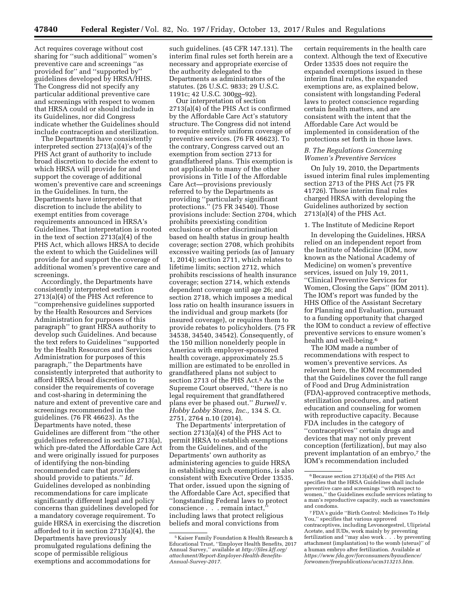Act requires coverage without cost sharing for ''such additional'' women's preventive care and screenings ''as provided for" and "supported by" guidelines developed by HRSA/HHS. The Congress did not specify any particular additional preventive care and screenings with respect to women that HRSA could or should include in its Guidelines, nor did Congress indicate whether the Guidelines should include contraception and sterilization.

The Departments have consistently interpreted section 2713(a)(4)'s of the PHS Act grant of authority to include broad discretion to decide the extent to which HRSA will provide for and support the coverage of additional women's preventive care and screenings in the Guidelines. In turn, the Departments have interpreted that discretion to include the ability to exempt entities from coverage requirements announced in HRSA's Guidelines. That interpretation is rooted in the text of section 2713(a)(4) of the PHS Act, which allows HRSA to decide the extent to which the Guidelines will provide for and support the coverage of additional women's preventive care and screenings.

Accordingly, the Departments have consistently interpreted section 2713(a)(4) of the PHS Act reference to ''comprehensive guidelines supported by the Health Resources and Services Administration for purposes of this paragraph'' to grant HRSA authority to develop such Guidelines. And because the text refers to Guidelines ''supported by the Health Resources and Services Administration for purposes of this paragraph,'' the Departments have consistently interpreted that authority to afford HRSA broad discretion to consider the requirements of coverage and cost-sharing in determining the nature and extent of preventive care and screenings recommended in the guidelines. (76 FR 46623). As the Departments have noted, these Guidelines are different from ''the other guidelines referenced in section 2713(a), which pre-dated the Affordable Care Act and were originally issued for purposes of identifying the non-binding recommended care that providers should provide to patients.'' *Id.*  Guidelines developed as nonbinding recommendations for care implicate significantly different legal and policy concerns than guidelines developed for a mandatory coverage requirement. To guide HRSA in exercising the discretion afforded to it in section 2713(a)(4), the Departments have previously promulgated regulations defining the scope of permissible religious exemptions and accommodations for

such guidelines. (45 CFR 147.131). The interim final rules set forth herein are a necessary and appropriate exercise of the authority delegated to the Departments as administrators of the statutes. (26 U.S.C. 9833; 29 U.S.C. 1191c; 42 U.S.C. 300gg–92).

Our interpretation of section 2713(a)(4) of the PHS Act is confirmed by the Affordable Care Act's statutory structure. The Congress did not intend to require entirely uniform coverage of preventive services. (76 FR 46623). To the contrary, Congress carved out an exemption from section 2713 for grandfathered plans. This exemption is not applicable to many of the other provisions in Title I of the Affordable Care Act—provisions previously referred to by the Departments as providing ''particularly significant protections.'' (75 FR 34540). Those provisions include: Section 2704, which prohibits preexisting condition exclusions or other discrimination based on health status in group health coverage; section 2708, which prohibits excessive waiting periods (as of January 1, 2014); section 2711, which relates to lifetime limits; section 2712, which prohibits rescissions of health insurance coverage; section 2714, which extends dependent coverage until age 26; and section 2718, which imposes a medical loss ratio on health insurance issuers in the individual and group markets (for insured coverage), or requires them to provide rebates to policyholders. (75 FR 34538, 34540, 34542). Consequently, of the 150 million nonelderly people in America with employer-sponsored health coverage, approximately 25.5 million are estimated to be enrolled in grandfathered plans not subject to section 2713 of the PHS Act.<sup>5</sup> As the Supreme Court observed, ''there is no legal requirement that grandfathered plans ever be phased out.'' *Burwell* v. *Hobby Lobby Stores, Inc.,* 134 S. Ct. 2751, 2764 n.10 (2014).

The Departments' interpretation of section 2713(a)(4) of the PHS Act to permit HRSA to establish exemptions from the Guidelines, and of the Departments' own authority as administering agencies to guide HRSA in establishing such exemptions, is also consistent with Executive Order 13535. That order, issued upon the signing of the Affordable Care Act, specified that ''longstanding Federal laws to protect conscience . . . remain intact,'' including laws that protect religious beliefs and moral convictions from

certain requirements in the health care context. Although the text of Executive Order 13535 does not require the expanded exemptions issued in these interim final rules, the expanded exemptions are, as explained below, consistent with longstanding Federal laws to protect conscience regarding certain health matters, and are consistent with the intent that the Affordable Care Act would be implemented in consideration of the protections set forth in those laws.

### *B. The Regulations Concerning Women's Preventive Services*

On July 19, 2010, the Departments issued interim final rules implementing section 2713 of the PHS Act (75 FR 41726). Those interim final rules charged HRSA with developing the Guidelines authorized by section 2713(a)(4) of the PHS Act.

# 1. The Institute of Medicine Report

In developing the Guidelines, HRSA relied on an independent report from the Institute of Medicine (IOM, now known as the National Academy of Medicine) on women's preventive services, issued on July 19, 2011, ''Clinical Preventive Services for Women, Closing the Gaps'' (IOM 2011). The IOM's report was funded by the HHS Office of the Assistant Secretary for Planning and Evaluation, pursuant to a funding opportunity that charged the IOM to conduct a review of effective preventive services to ensure women's health and well-being.6

The IOM made a number of recommendations with respect to women's preventive services. As relevant here, the IOM recommended that the Guidelines cover the full range of Food and Drug Administration (FDA)-approved contraceptive methods, sterilization procedures, and patient education and counseling for women with reproductive capacity. Because FDA includes in the category of ''contraceptives'' certain drugs and devices that may not only prevent conception (fertilization), but may also prevent implantation of an embryo,<sup>7</sup> the IOM's recommendation included

<sup>5</sup> Kaiser Family Foundation & Health Research & Educational Trust, ''Employer Health Benefits, 2017 Annual Survey,'' available at *[http://files.kff.org/](http://files.kff.org/attachment/Report-Employer-Health-Benefits-Annual-Survey-2017) [attachment/Report-Employer-Health-Benefits-](http://files.kff.org/attachment/Report-Employer-Health-Benefits-Annual-Survey-2017)[Annual-Survey-2017.](http://files.kff.org/attachment/Report-Employer-Health-Benefits-Annual-Survey-2017)* 

<sup>6</sup>Because section 2713(a)(4) of the PHS Act specifies that the HRSA Guidelines shall include preventive care and screenings ''with respect to women,'' the Guidelines exclude services relating to a man's reproductive capacity, such as vasectomies and condoms.

<sup>7</sup>FDA's guide ''Birth Control: Medicines To Help You,'' specifies that various approved contraceptives, including Levonorgestrel, Ulipristal Acetate, and IUDs, work mainly by preventing fertilization and ''may also work . . . by preventing attachment (implantation) to the womb (uterus)'' of a human embryo after fertilization. Available at *[https://www.fda.gov/forconsumers/byaudience/](https://www.fda.gov/forconsumers/byaudience/forwomen/freepublications/ucm313215.htm)  [forwomen/freepublications/ucm313215.htm.](https://www.fda.gov/forconsumers/byaudience/forwomen/freepublications/ucm313215.htm)*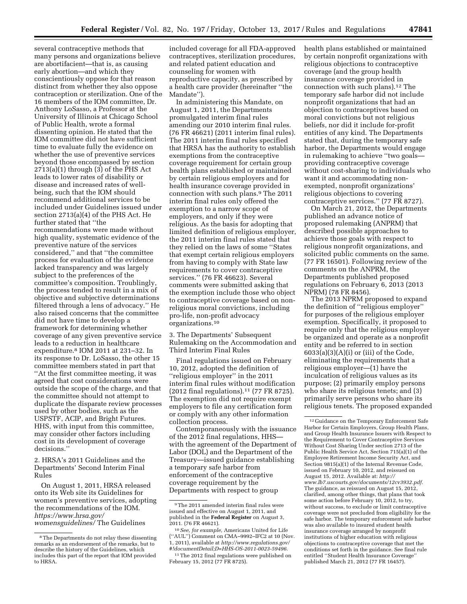several contraceptive methods that many persons and organizations believe are abortifacient—that is, as causing early abortion—and which they conscientiously oppose for that reason distinct from whether they also oppose contraception or sterilization. One of the 16 members of the IOM committee, Dr. Anthony LoSasso, a Professor at the University of Illinois at Chicago School of Public Health, wrote a formal dissenting opinion. He stated that the IOM committee did not have sufficient time to evaluate fully the evidence on whether the use of preventive services beyond those encompassed by section 2713(a)(1) through (3) of the PHS Act leads to lower rates of disability or disease and increased rates of wellbeing, such that the IOM should recommend additional services to be included under Guidelines issued under section 2713(a)(4) of the PHS Act. He further stated that ''the recommendations were made without high quality, systematic evidence of the preventive nature of the services considered,'' and that ''the committee process for evaluation of the evidence lacked transparency and was largely subject to the preferences of the committee's composition. Troublingly, the process tended to result in a mix of objective and subjective determinations filtered through a lens of advocacy.'' He also raised concerns that the committee did not have time to develop a framework for determining whether coverage of any given preventive service leads to a reduction in healthcare expenditure.8 IOM 2011 at 231–32. In its response to Dr. LoSasso, the other 15 committee members stated in part that ''At the first committee meeting, it was agreed that cost considerations were outside the scope of the charge, and that the committee should not attempt to duplicate the disparate review processes used by other bodies, such as the USPSTF, ACIP, and Bright Futures.

HHS, with input from this committee, may consider other factors including cost in its development of coverage decisions.''

2. HRSA's 2011 Guidelines and the Departments' Second Interim Final Rules

On August 1, 2011, HRSA released onto its Web site its Guidelines for women's preventive services, adopting the recommendations of the IOM. *[https://www.hrsa.gov/](https://www.hrsa.gov/womensguidelines/)  [womensguidelines/](https://www.hrsa.gov/womensguidelines/)* The Guidelines

included coverage for all FDA-approved contraceptives, sterilization procedures, and related patient education and counseling for women with reproductive capacity, as prescribed by a health care provider (hereinafter ''the Mandate'').

In administering this Mandate, on August 1, 2011, the Departments promulgated interim final rules amending our 2010 interim final rules. (76 FR 46621) (2011 interim final rules). The 2011 interim final rules specified that HRSA has the authority to establish exemptions from the contraceptive coverage requirement for certain group health plans established or maintained by certain religious employers and for health insurance coverage provided in connection with such plans.9 The 2011 interim final rules only offered the exemption to a narrow scope of employers, and only if they were religious. As the basis for adopting that limited definition of religious employer, the 2011 interim final rules stated that they relied on the laws of some ''States that exempt certain religious employers from having to comply with State law requirements to cover contraceptive services.'' (76 FR 46623). Several comments were submitted asking that the exemption include those who object to contraceptive coverage based on nonreligious moral convictions, including pro-life, non-profit advocacy organizations.10

3. The Departments' Subsequent Rulemaking on the Accommodation and Third Interim Final Rules

Final regulations issued on February 10, 2012, adopted the definition of ''religious employer'' in the 2011 interim final rules without modification (2012 final regulations).11 (77 FR 8725). The exemption did not require exempt employers to file any certification form or comply with any other information collection process.

Contemporaneously with the issuance of the 2012 final regulations, HHS with the agreement of the Department of Labor (DOL) and the Department of the Treasury—issued guidance establishing a temporary safe harbor from enforcement of the contraceptive coverage requirement by the Departments with respect to group

health plans established or maintained by certain nonprofit organizations with religious objections to contraceptive coverage (and the group health insurance coverage provided in connection with such plans).12 The temporary safe harbor did not include nonprofit organizations that had an objection to contraceptives based on moral convictions but not religious beliefs, nor did it include for-profit entities of any kind. The Departments stated that, during the temporary safe harbor, the Departments would engage in rulemaking to achieve ''two goals providing contraceptive coverage without cost-sharing to individuals who want it and accommodating nonexempted, nonprofit organizations' religious objections to covering contraceptive services.'' (77 FR 8727).

On March 21, 2012, the Departments published an advance notice of proposed rulemaking (ANPRM) that described possible approaches to achieve those goals with respect to religious nonprofit organizations, and solicited public comments on the same. (77 FR 16501). Following review of the comments on the ANPRM, the Departments published proposed regulations on February 6, 2013 (2013 NPRM) (78 FR 8456).

The 2013 NPRM proposed to expand the definition of ''religious employer'' for purposes of the religious employer exemption. Specifically, it proposed to require only that the religious employer be organized and operate as a nonprofit entity and be referred to in section  $6033(a)(3)(A)(i)$  or (iii) of the Code, eliminating the requirements that a religious employer—(1) have the inculcation of religious values as its purpose; (2) primarily employ persons who share its religious tenets; and (3) primarily serve persons who share its religious tenets. The proposed expanded

<sup>8</sup>The Departments do not relay these dissenting remarks as an endorsement of the remarks, but to describe the history of the Guidelines, which includes this part of the report that IOM provided to HRSA.

<sup>9</sup>The 2011 amended interim final rules were issued and effective on August 1, 2011, and published in the **Federal Register** on August 3, 2011. (76 FR 46621).

<sup>10</sup>*See, for example,* Americans United for Life (''AUL'') Comment on CMA–9992–IFC2 at 10 (Nov. 1, 2011), available at *[http://www.regulations.gov/](http://www.regulations.gov/#!documentDetail;D=HHS-OS-2011-0023-59496) [#!documentDetail;D=HHS-OS-2011-0023-59496.](http://www.regulations.gov/#!documentDetail;D=HHS-OS-2011-0023-59496)* 

<sup>&</sup>lt;sup>11</sup>The 2012 final regulations were published on February 15, 2012 (77 FR 8725).

<sup>12</sup> Guidance on the Temporary Enforcement Safe Harbor for Certain Employers, Group Health Plans, and Group Health Insurance Issuers with Respect to the Requirement to Cover Contraceptive Services Without Cost Sharing Under section 2713 of the Public Health Service Act, Section 715(a)(1) of the Employee Retirement Income Security Act, and Section 9815(a)(1) of the Internal Revenue Code, issued on February 10, 2012, and reissued on August 15, 2012. Available at: *[http://](http://www.lb7.uscourts.gov/documents/12cv3932.pdf)  [www.lb7.uscourts.gov/documents/12cv3932.pdf.](http://www.lb7.uscourts.gov/documents/12cv3932.pdf)*  The guidance, as reissued on August 15, 2012, clarified, among other things, that plans that took some action before February 10, 2012, to try, without success, to exclude or limit contraceptive coverage were not precluded from eligibility for the safe harbor. The temporary enforcement safe harbor was also available to insured student health insurance coverage arranged by nonprofit institutions of higher education with religious objections to contraceptive coverage that met the conditions set forth in the guidance. See final rule entitled ''Student Health Insurance Coverage'' published March 21, 2012 (77 FR 16457).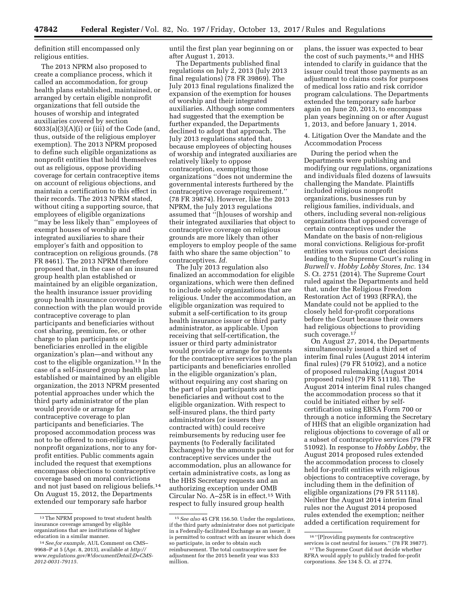definition still encompassed only religious entities.

The 2013 NPRM also proposed to create a compliance process, which it called an accommodation, for group health plans established, maintained, or arranged by certain eligible nonprofit organizations that fell outside the houses of worship and integrated auxiliaries covered by section  $6033(a)(3)(A)(i)$  or (iii) of the Code (and, thus, outside of the religious employer exemption). The 2013 NPRM proposed to define such eligible organizations as nonprofit entities that hold themselves out as religious, oppose providing coverage for certain contraceptive items on account of religious objections, and maintain a certification to this effect in their records. The 2013 NPRM stated, without citing a supporting source, that employees of eligible organizations "may be less likely than" employees of exempt houses of worship and integrated auxiliaries to share their employer's faith and opposition to contraception on religious grounds. (78 FR 8461). The 2013 NPRM therefore proposed that, in the case of an insured group health plan established or maintained by an eligible organization, the health insurance issuer providing group health insurance coverage in connection with the plan would provide contraceptive coverage to plan participants and beneficiaries without cost sharing, premium, fee, or other charge to plan participants or beneficiaries enrolled in the eligible organization's plan—and without any cost to the eligible organization.13 In the case of a self-insured group health plan established or maintained by an eligible organization, the 2013 NPRM presented potential approaches under which the third party administrator of the plan would provide or arrange for contraceptive coverage to plan participants and beneficiaries. The proposed accommodation process was not to be offered to non-religious nonprofit organizations, nor to any forprofit entities. Public comments again included the request that exemptions encompass objections to contraceptive coverage based on moral convictions and not just based on religious beliefs.14 On August 15, 2012, the Departments extended our temporary safe harbor

until the first plan year beginning on or after August 1, 2013.

The Departments published final regulations on July 2, 2013 (July 2013 final regulations) (78 FR 39869). The July 2013 final regulations finalized the expansion of the exemption for houses of worship and their integrated auxiliaries. Although some commenters had suggested that the exemption be further expanded, the Departments declined to adopt that approach. The July 2013 regulations stated that, because employees of objecting houses of worship and integrated auxiliaries are relatively likely to oppose contraception, exempting those organizations ''does not undermine the governmental interests furthered by the contraceptive coverage requirement.'' (78 FR 39874). However, like the 2013 NPRM, the July 2013 regulations assumed that ''[h]ouses of worship and their integrated auxiliaries that object to contraceptive coverage on religious grounds are more likely than other employers to employ people of the same faith who share the same objection'' to contraceptives. *Id.* 

The July 2013 regulation also finalized an accommodation for eligible organizations, which were then defined to include solely organizations that are religious. Under the accommodation, an eligible organization was required to submit a self-certification to its group health insurance issuer or third party administrator, as applicable. Upon receiving that self-certification, the issuer or third party administrator would provide or arrange for payments for the contraceptive services to the plan participants and beneficiaries enrolled in the eligible organization's plan, without requiring any cost sharing on the part of plan participants and beneficiaries and without cost to the eligible organization. With respect to self-insured plans, the third party administrators (or issuers they contracted with) could receive reimbursements by reducing user fee payments (to Federally facilitated Exchanges) by the amounts paid out for contraceptive services under the accommodation, plus an allowance for certain administrative costs, as long as the HHS Secretary requests and an authorizing exception under OMB Circular No. A–25R is in effect.15 With respect to fully insured group health

plans, the issuer was expected to bear the cost of such payments,<sup>16</sup> and HHS intended to clarify in guidance that the issuer could treat those payments as an adjustment to claims costs for purposes of medical loss ratio and risk corridor program calculations. The Departments extended the temporary safe harbor again on June 20, 2013, to encompass plan years beginning on or after August 1, 2013, and before January 1, 2014.

4. Litigation Over the Mandate and the Accommodation Process

During the period when the Departments were publishing and modifying our regulations, organizations and individuals filed dozens of lawsuits challenging the Mandate. Plaintiffs included religious nonprofit organizations, businesses run by religious families, individuals, and others, including several non-religious organizations that opposed coverage of certain contraceptives under the Mandate on the basis of non-religious moral convictions. Religious for-profit entities won various court decisions leading to the Supreme Court's ruling in *Burwell* v. *Hobby Lobby Stores, Inc.* 134 S. Ct. 2751 (2014). The Supreme Court ruled against the Departments and held that, under the Religious Freedom Restoration Act of 1993 (RFRA), the Mandate could not be applied to the closely held for-profit corporations before the Court because their owners had religious objections to providing such coverage.<sup>17</sup>

On August 27, 2014, the Departments simultaneously issued a third set of interim final rules (August 2014 interim final rules) (79 FR 51092), and a notice of proposed rulemaking (August 2014 proposed rules) (79 FR 51118). The August 2014 interim final rules changed the accommodation process so that it could be initiated either by selfcertification using EBSA Form 700 or through a notice informing the Secretary of HHS that an eligible organization had religious objections to coverage of all or a subset of contraceptive services (79 FR 51092). In response to *Hobby Lobby,* the August 2014 proposed rules extended the accommodation process to closely held for-profit entities with religious objections to contraceptive coverage, by including them in the definition of eligible organizations (79 FR 51118). Neither the August 2014 interim final rules nor the August 2014 proposed rules extended the exemption; neither added a certification requirement for

<sup>13</sup>The NPRM proposed to treat student health insurance coverage arranged by eligible organizations that are institutions of higher education in a similar manner.

<sup>14</sup>*See,for example,* AUL Comment on CMS– 9968–P at 5 (Apr. 8, 2013), available at *[http://](http://www.regulations.gov/#!documentDetail;D=CMS-2012-0031-79115) [www.regulations.gov/#!documentDetail;D=CMS-](http://www.regulations.gov/#!documentDetail;D=CMS-2012-0031-79115)[2012-0031-79115.](http://www.regulations.gov/#!documentDetail;D=CMS-2012-0031-79115)* 

<sup>15</sup>*See also* 45 CFR 156.50. Under the regulations, if the third party administrator does not participate in a Federally-facilitated Exchange as an issuer, it is permitted to contract with an insurer which does so participate, in order to obtain such reimbursement. The total contraceptive user fee adjustment for the 2015 benefit year was \$33 million.

<sup>&</sup>lt;sup>16</sup> "[P]roviding payments for contraceptive<br>services is cost neutral for issuers." (78 FR 39877). <sup>17</sup> The Supreme Court did not decide whether

RFRA would apply to publicly traded for-profit corporations. *See* 134 S. Ct. at 2774.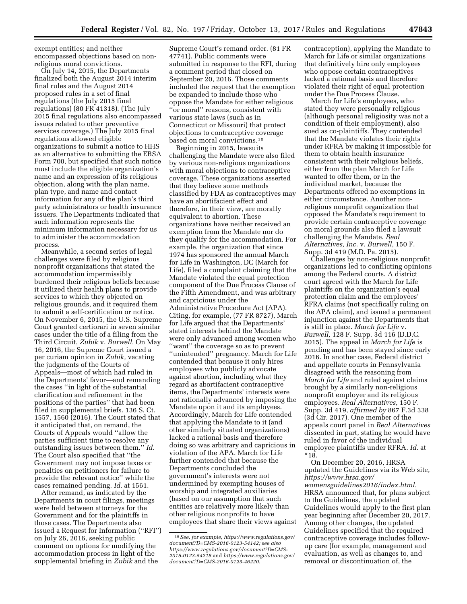exempt entities; and neither encompassed objections based on nonreligious moral convictions.

On July 14, 2015, the Departments finalized both the August 2014 interim final rules and the August 2014 proposed rules in a set of final regulations (the July 2015 final regulations) (80 FR 41318). (The July 2015 final regulations also encompassed issues related to other preventive services coverage.) The July 2015 final regulations allowed eligible organizations to submit a notice to HHS as an alternative to submitting the EBSA Form 700, but specified that such notice must include the eligible organization's name and an expression of its religious objection, along with the plan name, plan type, and name and contact information for any of the plan's third party administrators or health insurance issuers. The Departments indicated that such information represents the minimum information necessary for us to administer the accommodation process.

Meanwhile, a second series of legal challenges were filed by religious nonprofit organizations that stated the accommodation impermissibly burdened their religious beliefs because it utilized their health plans to provide services to which they objected on religious grounds, and it required them to submit a self-certification or notice. On November 6, 2015, the U.S. Supreme Court granted certiorari in seven similar cases under the title of a filing from the Third Circuit, *Zubik* v. *Burwell.* On May 16, 2016, the Supreme Court issued a per curiam opinion in *Zubik,* vacating the judgments of the Courts of Appeals—most of which had ruled in the Departments' favor—and remanding the cases ''in light of the substantial clarification and refinement in the positions of the parties'' that had been filed in supplemental briefs. 136 S. Ct. 1557, 1560 (2016). The Court stated that it anticipated that, on remand, the Courts of Appeals would ''allow the parties sufficient time to resolve any outstanding issues between them.'' *Id.*  The Court also specified that ''the Government may not impose taxes or penalties on petitioners for failure to provide the relevant notice'' while the cases remained pending. *Id.* at 1561.

After remand, as indicated by the Departments in court filings, meetings were held between attorneys for the Government and for the plaintiffs in those cases. The Departments also issued a Request for Information (''RFI'') on July 26, 2016, seeking public comment on options for modifying the accommodation process in light of the supplemental briefing in *Zubik* and the

Supreme Court's remand order. (81 FR 47741). Public comments were submitted in response to the RFI, during a comment period that closed on September 20, 2016. Those comments included the request that the exemption be expanded to include those who oppose the Mandate for either religious ''or moral'' reasons, consistent with various state laws (such as in Connecticut or Missouri) that protect objections to contraceptive coverage based on moral convictions.18

Beginning in 2015, lawsuits challenging the Mandate were also filed by various non-religious organizations with moral objections to contraceptive coverage. These organizations asserted that they believe some methods classified by FDA as contraceptives may have an abortifacient effect and therefore, in their view, are morally equivalent to abortion. These organizations have neither received an exemption from the Mandate nor do they qualify for the accommodation. For example, the organization that since 1974 has sponsored the annual March for Life in Washington, DC (March for Life), filed a complaint claiming that the Mandate violated the equal protection component of the Due Process Clause of the Fifth Amendment, and was arbitrary and capricious under the Administrative Procedure Act (APA). Citing, for example, (77 FR 8727), March for Life argued that the Departments' stated interests behind the Mandate were only advanced among women who ''want'' the coverage so as to prevent ''unintended'' pregnancy. March for Life contended that because it only hires employees who publicly advocate against abortion, including what they regard as abortifacient contraceptive items, the Departments' interests were not rationally advanced by imposing the Mandate upon it and its employees. Accordingly, March for Life contended that applying the Mandate to it (and other similarly situated organizations) lacked a rational basis and therefore doing so was arbitrary and capricious in violation of the APA. March for Life further contended that because the Departments concluded the government's interests were not undermined by exempting houses of worship and integrated auxiliaries (based on our assumption that such entities are relatively more likely than other religious nonprofits to have employees that share their views against

contraception), applying the Mandate to March for Life or similar organizations that definitively hire only employees who oppose certain contraceptives lacked a rational basis and therefore violated their right of equal protection under the Due Process Clause.

March for Life's employees, who stated they were personally religious (although personal religiosity was not a condition of their employment), also sued as co-plaintiffs. They contended that the Mandate violates their rights under RFRA by making it impossible for them to obtain health insurance consistent with their religious beliefs, either from the plan March for Life wanted to offer them, or in the individual market, because the Departments offered no exemptions in either circumstance. Another nonreligious nonprofit organization that opposed the Mandate's requirement to provide certain contraceptive coverage on moral grounds also filed a lawsuit challenging the Mandate. *Real Alternatives, Inc.* v. *Burwell,* 150 F. Supp. 3d 419 (M.D. Pa. 2015).

Challenges by non-religious nonprofit organizations led to conflicting opinions among the Federal courts. A district court agreed with the March for Life plaintiffs on the organization's equal protection claim and the employees' RFRA claims (not specifically ruling on the APA claim), and issued a permanent injunction against the Departments that is still in place. *March for Life* v. *Burwell,* 128 F. Supp. 3d 116 (D.D.C. 2015). The appeal in *March for Life* is pending and has been stayed since early 2016. In another case, Federal district and appellate courts in Pennsylvania disagreed with the reasoning from *March for Life* and ruled against claims brought by a similarly non-religious nonprofit employer and its religious employees. *Real Alternatives,* 150 F. Supp. 3d 419, *affirmed by* 867 F.3d 338 (3d Cir. 2017). One member of the appeals court panel in *Real Alternatives*  dissented in part, stating he would have ruled in favor of the individual employee plaintiffs under RFRA. *Id.* at \*18.

On December 20, 2016, HRSA updated the Guidelines via its Web site, *[https://www.hrsa.gov/](https://www.hrsa.gov/womensguidelines2016/index.html)  [womensguidelines2016/index.html.](https://www.hrsa.gov/womensguidelines2016/index.html)*  HRSA announced that, for plans subject to the Guidelines, the updated Guidelines would apply to the first plan year beginning after December 20, 2017. Among other changes, the updated Guidelines specified that the required contraceptive coverage includes followup care (for example, management and evaluation, as well as changes to, and removal or discontinuation of, the

<sup>18</sup>*See, for example, [https://www.regulations.gov/](https://www.regulations.gov/document?D=CMS-2016-0123-54142)  [document?D=CMS-2016-0123-54142;](https://www.regulations.gov/document?D=CMS-2016-0123-54142) see also [https://www.regulations.gov/document?D=CMS-](https://www.regulations.gov/document?D=CMS-2016-0123-54218)[2016-0123-54218](https://www.regulations.gov/document?D=CMS-2016-0123-54218)* and *[https://www.regulations.gov/](https://www.regulations.gov/document?D=CMS-2016-0123-46220) [document?D=CMS-2016-0123-46220.](https://www.regulations.gov/document?D=CMS-2016-0123-46220)*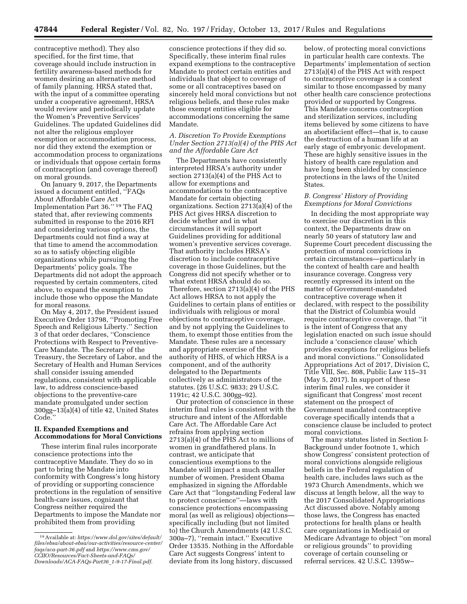contraceptive method). They also specified, for the first time, that coverage should include instruction in fertility awareness-based methods for women desiring an alternative method of family planning. HRSA stated that, with the input of a committee operating under a cooperative agreement, HRSA would review and periodically update the Women's Preventive Services' Guidelines. The updated Guidelines did not alter the religious employer exemption or accommodation process, nor did they extend the exemption or accommodation process to organizations or individuals that oppose certain forms of contraception (and coverage thereof) on moral grounds.

On January 9, 2017, the Departments issued a document entitled, ''FAQs About Affordable Care Act Implementation Part 36.'' 19 The FAQ stated that, after reviewing comments submitted in response to the 2016 RFI and considering various options, the Departments could not find a way at that time to amend the accommodation so as to satisfy objecting eligible organizations while pursuing the Departments' policy goals. The Departments did not adopt the approach requested by certain commenters, cited above, to expand the exemption to include those who oppose the Mandate for moral reasons.

On May 4, 2017, the President issued Executive Order 13798, ''Promoting Free Speech and Religious Liberty.'' Section 3 of that order declares, ''Conscience Protections with Respect to Preventive-Care Mandate. The Secretary of the Treasury, the Secretary of Labor, and the Secretary of Health and Human Services shall consider issuing amended regulations, consistent with applicable law, to address conscience-based objections to the preventive-care mandate promulgated under section 300gg–13(a)(4) of title 42, United States Code.''

### **II. Expanded Exemptions and Accommodations for Moral Convictions**

These interim final rules incorporate conscience protections into the contraceptive Mandate. They do so in part to bring the Mandate into conformity with Congress's long history of providing or supporting conscience protections in the regulation of sensitive health-care issues, cognizant that Congress neither required the Departments to impose the Mandate nor prohibited them from providing

conscience protections if they did so. Specifically, these interim final rules expand exemptions to the contraceptive Mandate to protect certain entities and individuals that object to coverage of some or all contraceptives based on sincerely held moral convictions but not religious beliefs, and these rules make those exempt entities eligible for accommodations concerning the same Mandate.

### *A. Discretion To Provide Exemptions Under Section 2713(a)(4) of the PHS Act and the Affordable Care Act*

The Departments have consistently interpreted HRSA's authority under section 2713(a)(4) of the PHS Act to allow for exemptions and accommodations to the contraceptive Mandate for certain objecting organizations. Section 2713(a)(4) of the PHS Act gives HRSA discretion to decide whether and in what circumstances it will support Guidelines providing for additional women's preventive services coverage. That authority includes HRSA's discretion to include contraceptive coverage in those Guidelines, but the Congress did not specify whether or to what extent HRSA should do so. Therefore, section 2713(a)(4) of the PHS Act allows HRSA to not apply the Guidelines to certain plans of entities or individuals with religious or moral objections to contraceptive coverage, and by not applying the Guidelines to them, to exempt those entities from the Mandate. These rules are a necessary and appropriate exercise of the authority of HHS, of which HRSA is a component, and of the authority delegated to the Departments collectively as administrators of the statutes. (26 U.S.C. 9833; 29 U.S.C. 1191c; 42 U.S.C. 300gg–92).

Our protection of conscience in these interim final rules is consistent with the structure and intent of the Affordable Care Act. The Affordable Care Act refrains from applying section 2713(a)(4) of the PHS Act to millions of women in grandfathered plans. In contrast, we anticipate that conscientious exemptions to the Mandate will impact a much smaller number of women. President Obama emphasized in signing the Affordable Care Act that ''longstanding Federal law to protect conscience''—laws with conscience protections encompassing moral (as well as religious) objections specifically including (but not limited to) the Church Amendments (42 U.S.C. 300a–7), ''remain intact.'' Executive Order 13535. Nothing in the Affordable Care Act suggests Congress' intent to deviate from its long history, discussed

below, of protecting moral convictions in particular health care contexts. The Departments' implementation of section 2713(a)(4) of the PHS Act with respect to contraceptive coverage is a context similar to those encompassed by many other health care conscience protections provided or supported by Congress. This Mandate concerns contraception and sterilization services, including items believed by some citizens to have an abortifacient effect—that is, to cause the destruction of a human life at an early stage of embryonic development. These are highly sensitive issues in the history of health care regulation and have long been shielded by conscience protections in the laws of the United States.

### *B. Congress' History of Providing Exemptions for Moral Convictions*

In deciding the most appropriate way to exercise our discretion in this context, the Departments draw on nearly 50 years of statutory law and Supreme Court precedent discussing the protection of moral convictions in certain circumstances—particularly in the context of health care and health insurance coverage. Congress very recently expressed its intent on the matter of Government-mandated contraceptive coverage when it declared, with respect to the possibility that the District of Columbia would require contraceptive coverage, that ''it is the intent of Congress that any legislation enacted on such issue should include a 'conscience clause' which provides exceptions for religious beliefs and moral convictions.'' Consolidated Appropriations Act of 2017, Division C, Title VIII, Sec. 808, Public Law 115–31 (May 5, 2017). In support of these interim final rules, we consider it significant that Congress' most recent statement on the prospect of Government mandated contraceptive coverage specifically intends that a conscience clause be included to protect moral convictions.

The many statutes listed in Section I-Background under footnote 1, which show Congress' consistent protection of moral convictions alongside religious beliefs in the Federal regulation of health care, includes laws such as the 1973 Church Amendments, which we discuss at length below, all the way to the 2017 Consolidated Appropriations Act discussed above. Notably among those laws, the Congress has enacted protections for health plans or health care organizations in Medicaid or Medicare Advantage to object ''on moral or religious grounds'' to providing coverage of certain counseling or referral services. 42 U.S.C. 1395w–

<sup>19</sup>Available at: *[https://www.dol.gov/sites/default/](https://www.dol.gov/sites/default/files/ebsa/about-ebsa/our-activities/resource-center/faqs/aca-part-36.pdf)  [files/ebsa/about-ebsa/our-activities/resource-center/](https://www.dol.gov/sites/default/files/ebsa/about-ebsa/our-activities/resource-center/faqs/aca-part-36.pdf)  [faqs/aca-part-36.pdf](https://www.dol.gov/sites/default/files/ebsa/about-ebsa/our-activities/resource-center/faqs/aca-part-36.pdf)* and *[https://www.cms.gov/](https://www.cms.gov/CCIIO/Resources/Fact-Sheets-and-FAQs/Downloads/ACA-FAQs-Part36_1-9-17-Final.pdf)  [CCIIO/Resources/Fact-Sheets-and-FAQs/](https://www.cms.gov/CCIIO/Resources/Fact-Sheets-and-FAQs/Downloads/ACA-FAQs-Part36_1-9-17-Final.pdf) [Downloads/ACA-FAQs-Part36](https://www.cms.gov/CCIIO/Resources/Fact-Sheets-and-FAQs/Downloads/ACA-FAQs-Part36_1-9-17-Final.pdf)*\_*1-9-17-Final.pdf.*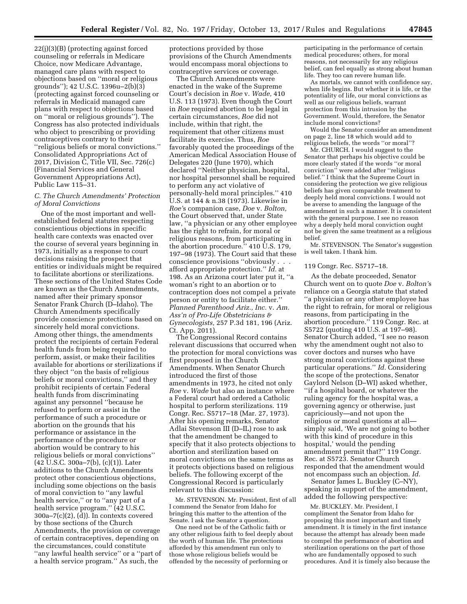22(j)(3)(B) (protecting against forced counseling or referrals in Medicare Choice, now Medicare Advantage, managed care plans with respect to objections based on ''moral or religious grounds''); 42 U.S.C. 1396u–2(b)(3) (protecting against forced counseling or referrals in Medicaid managed care plans with respect to objections based on ''moral or religious grounds''). The Congress has also protected individuals who object to prescribing or providing contraceptives contrary to their ''religious beliefs or moral convictions.'' Consolidated Appropriations Act of 2017, Division C, Title VII, Sec. 726(c) (Financial Services and General Government Appropriations Act), Public Law 115–31.

## *C. The Church Amendments' Protection of Moral Convictions*

One of the most important and wellestablished federal statutes respecting conscientious objections in specific health care contexts was enacted over the course of several years beginning in 1973, initially as a response to court decisions raising the prospect that entities or individuals might be required to facilitate abortions or sterilizations. These sections of the United States Code are known as the Church Amendments, named after their primary sponsor Senator Frank Church (D–Idaho). The Church Amendments specifically provide conscience protections based on sincerely held moral convictions. Among other things, the amendments protect the recipients of certain Federal health funds from being required to perform, assist, or make their facilities available for abortions or sterilizations if they object ''on the basis of religious beliefs or moral convictions,'' and they prohibit recipients of certain Federal health funds from discriminating against any personnel ''because he refused to perform or assist in the performance of such a procedure or abortion on the grounds that his performance or assistance in the performance of the procedure or abortion would be contrary to his religious beliefs or moral convictions'' (42 U.S.C. 300a–7(b), (c)(1)). Later additions to the Church Amendments protect other conscientious objections, including some objections on the basis of moral conviction to ''any lawful health service,'' or to ''any part of a health service program.'' (42 U.S.C.  $300a - 7(c)(2)$ ,  $\overline{d}$ ). In contexts covered by those sections of the Church Amendments, the provision or coverage of certain contraceptives, depending on the circumstances, could constitute ''any lawful health service'' or a ''part of a health service program.'' As such, the

protections provided by those provisions of the Church Amendments would encompass moral objections to contraceptive services or coverage.

The Church Amendments were enacted in the wake of the Supreme Court's decision in *Roe* v. *Wade,* 410 U.S. 113 (1973). Even though the Court in *Roe* required abortion to be legal in certain circumstances, *Roe* did not include, within that right, the requirement that other citizens must facilitate its exercise. Thus, *Roe*  favorably quoted the proceedings of the American Medical Association House of Delegates 220 (June 1970), which declared ''Neither physician, hospital, nor hospital personnel shall be required to perform any act violative of personally-held moral principles.'' 410 U.S. at 144 & n.38 (1973). Likewise in *Roe'*s companion case, *Doe* v. *Bolton,*  the Court observed that, under State law, ''a physician or any other employee has the right to refrain, for moral or religious reasons, from participating in the abortion procedure.'' 410 U.S. 179, 197–98 (1973). The Court said that these conscience provisions ''obviously . . . afford appropriate protection.'' *Id.* at 198. As an Arizona court later put it, ''a woman's right to an abortion or to contraception does not compel a private person or entity to facilitate either.'' *Planned Parenthood Ariz., Inc.* v. *Am. Ass'n of Pro-Life Obstetricians & Gynecologists,* 257 P.3d 181, 196 (Ariz. Ct. App. 2011).

The Congressional Record contains relevant discussions that occurred when the protection for moral convictions was first proposed in the Church Amendments. When Senator Church introduced the first of those amendments in 1973, he cited not only *Roe* v. *Wade* but also an instance where a Federal court had ordered a Catholic hospital to perform sterilizations. 119 Congr. Rec. S5717–18 (Mar. 27, 1973). After his opening remarks, Senator Adlai Stevenson III (D–IL) rose to ask that the amendment be changed to specify that it also protects objections to abortion and sterilization based on moral convictions on the same terms as it protects objections based on religious beliefs. The following excerpt of the Congressional Record is particularly relevant to this discussion:

Mr. STEVENSON. Mr. President, first of all I commend the Senator from Idaho for bringing this matter to the attention of the Senate. I ask the Senator a question.

One need not be of the Catholic faith or any other religious faith to feel deeply about the worth of human life. The protections afforded by this amendment run only to those whose religious beliefs would be offended by the necessity of performing or

participating in the performance of certain medical procedures; others, for moral reasons, not necessarily for any religious belief, can feel equally as strong about human life. They too can revere human life.

As mortals, we cannot with confidence say, when life begins. But whether it is life, or the potentiality of life, our moral convictions as well as our religious beliefs, warrant protection from this intrusion by the Government. Would, therefore, the Senator include moral convictions?

Would the Senator consider an amendment on page 2, line 18 which would add to religious beliefs, the words ''or moral''?

Mr. CHURCH. I would suggest to the Senator that perhaps his objective could be more clearly stated if the words ''or moral conviction'' were added after ''religious belief.'' I think that the Supreme Court in considering the protection we give religious beliefs has given comparable treatment to deeply held moral convictions. I would not be averse to amending the language of the amendment in such a manner. It is consistent with the general purpose. I see no reason why a deeply held moral conviction ought not be given the same treatment as a religious belief.

Mr. STEVENSON. The Senator's suggestion is well taken. I thank him.

#### 119 Congr. Rec. S5717–18.

As the debate proceeded, Senator Church went on to quote *Doe* v. *Bolton'*s reliance on a Georgia statute that stated ''a physician or any other employee has the right to refrain, for moral or religious reasons, from participating in the abortion procedure.'' 119 Congr. Rec. at S5722 (quoting 410 U.S. at 197–98). Senator Church added, ''I see no reason why the amendment ought not also to cover doctors and nurses who have strong moral convictions against these particular operations.'' *Id.* Considering the scope of the protections, Senator Gaylord Nelson (D–WI) asked whether, ''if a hospital board, or whatever the ruling agency for the hospital was, a governing agency or otherwise, just capriciously—and not upon the religious or moral questions at all simply said, 'We are not going to bother with this kind of procedure in this hospital,' would the pending amendment permit that?'' 119 Congr. Rec. at S5723. Senator Church responded that the amendment would not encompass such an objection. *Id.* 

Senator James L. Buckley (C–NY), speaking in support of the amendment, added the following perspective:

Mr. BUCKLEY. Mr. President, I compliment the Senator from Idaho for proposing this most important and timely amendment. It is timely in the first instance because the attempt has already been made to compel the performance of abortion and sterilization operations on the part of those who are fundamentally opposed to such procedures. And it is timely also because the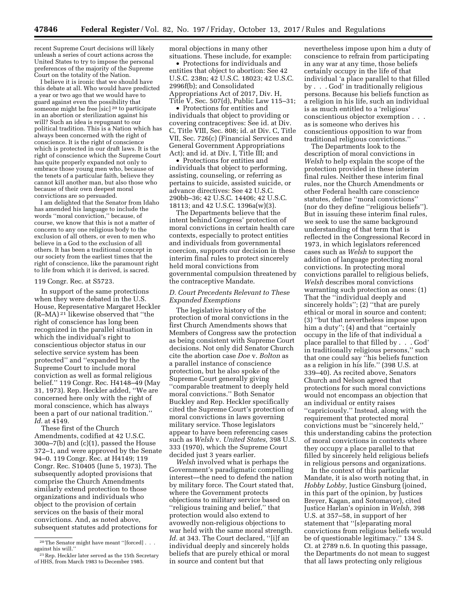recent Supreme Court decisions will likely unleash a series of court actions across the United States to try to impose the personal preferences of the majority of the Supreme Court on the totality of the Nation.

I believe it is ironic that we should have this debate at all. Who would have predicted a year or two ago that we would have to guard against even the possibility that someone might be free [sic] 20 to participate in an abortion or sterilization against his will? Such an idea is repugnant to our political tradition. This is a Nation which has always been concerned with the right of conscience. It is the right of conscience which is protected in our draft laws. It is the right of conscience which the Supreme Court has quite properly expanded not only to embrace those young men who, because of the tenets of a particular faith, believe they cannot kill another man, but also those who because of their own deepest moral convictions are so persuaded.

I am delighted that the Senator from Idaho has amended his language to include the words ''moral conviction,'' because, of course, we know that this is not a matter of concern to any one religious body to the exclusion of all others, or even to men who believe in a God to the exclusion of all others. It has been a traditional concept in our society from the earliest times that the right of conscience, like the paramount right to life from which it is derived, is sacred.

### 119 Congr. Rec. at S5723.

In support of the same protections when they were debated in the U.S. House, Representative Margaret Heckler (R–MA) 21 likewise observed that ''the right of conscience has long been recognized in the parallel situation in which the individual's right to conscientious objector status in our selective service system has been protected'' and ''expanded by the Supreme Court to include moral conviction as well as formal religious belief.'' 119 Congr. Rec. H4148–49 (May 31, 1973). Rep. Heckler added, ''We are concerned here only with the right of moral conscience, which has always been a part of our national tradition.'' *Id.* at 4149.

These first of the Church Amendments, codified at 42 U.S.C. 300a–7(b) and (c)(1), passed the House 372–1, and were approved by the Senate 94–0. 119 Congr. Rec. at H4149; 119 Congr. Rec. S10405 (June 5, 1973). The subsequently adopted provisions that comprise the Church Amendments similarly extend protection to those organizations and individuals who object to the provision of certain services on the basis of their moral convictions. And, as noted above, subsequent statutes add protections for

moral objections in many other situations. These include, for example:

• Protections for individuals and entities that object to abortion: See 42 U.S.C. 238n; 42 U.S.C. 18023; 42 U.S.C. 2996f(b); and Consolidated Appropriations Act of 2017, Div. H, Title V, Sec. 507(d), Public Law 115–31;

• Protections for entities and individuals that object to providing or covering contraceptives: See id. at Div. C, Title VIII, Sec. 808; id. at Div. C, Title VII, Sec. 726(c) (Financial Services and General Government Appropriations Act); and id. at Div. I, Title III; and

• Protections for entities and individuals that object to performing, assisting, counseling, or referring as pertains to suicide, assisted suicide, or advance directives: See 42 U.S.C. 290bb–36; 42 U.S.C. 14406; 42 U.S.C. 18113; and 42 U.S.C. 1396a(w)(3).

The Departments believe that the intent behind Congress' protection of moral convictions in certain health care contexts, especially to protect entities and individuals from governmental coercion, supports our decision in these interim final rules to protect sincerely held moral convictions from governmental compulsion threatened by the contraceptive Mandate.

# *D. Court Precedents Relevant to These Expanded Exemptions*

The legislative history of the protection of moral convictions in the first Church Amendments shows that Members of Congress saw the protection as being consistent with Supreme Court decisions. Not only did Senator Church cite the abortion case *Doe* v. *Bolton* as a parallel instance of conscience protection, but he also spoke of the Supreme Court generally giving ''comparable treatment to deeply held moral convictions.'' Both Senator Buckley and Rep. Heckler specifically cited the Supreme Court's protection of moral convictions in laws governing military service. Those legislators appear to have been referencing cases such as *Welsh* v. *United States,* 398 U.S. 333 (1970), which the Supreme Court decided just 3 years earlier.

*Welsh* involved what is perhaps the Government's paradigmatic compelling interest—the need to defend the nation by military force. The Court stated that, where the Government protects objections to military service based on ''religious training and belief,'' that protection would also extend to avowedly non-religious objections to war held with the same moral strength. *Id.* at 343. The Court declared, ''[i]f an individual deeply and sincerely holds beliefs that are purely ethical or moral in source and content but that

nevertheless impose upon him a duty of conscience to refrain from participating in any war at any time, those beliefs certainly occupy in the life of that individual 'a place parallel to that filled by . . . God' in traditionally religious persons. Because his beliefs function as a religion in his life, such an individual is as much entitled to a 'religious' conscientious objector exemption . . . as is someone who derives his conscientious opposition to war from traditional religious convictions.''

The Departments look to the description of moral convictions in *Welsh* to help explain the scope of the protection provided in these interim final rules. Neither these interim final rules, nor the Church Amendments or other Federal health care conscience statutes, define ''moral convictions'' (nor do they define ''religious beliefs''). But in issuing these interim final rules, we seek to use the same background understanding of that term that is reflected in the Congressional Record in 1973, in which legislators referenced cases such as *Welsh* to support the addition of language protecting moral convictions. In protecting moral convictions parallel to religious beliefs, *Welsh* describes moral convictions warranting such protection as ones: (1) That the ''individual deeply and sincerely holds"; (2) "that are purely ethical or moral in source and content; (3) ''but that nevertheless impose upon him a duty"; (4) and that "certainly occupy in the life of that individual a place parallel to that filled by . . . God' in traditionally religious persons,'' such that one could say ''his beliefs function as a religion in his life.'' (398 U.S. at 339–40). As recited above, Senators Church and Nelson agreed that protections for such moral convictions would not encompass an objection that an individual or entity raises ''capriciously.'' Instead, along with the requirement that protected moral convictions must be ''sincerely held,'' this understanding cabins the protection of moral convictions in contexts where they occupy a place parallel to that filled by sincerely held religious beliefs in religious persons and organizations.

In the context of this particular Mandate, it is also worth noting that, in *Hobby Lobby,* Justice Ginsburg (joined, in this part of the opinion, by Justices Breyer, Kagan, and Sotomayor), cited Justice Harlan's opinion in *Welsh,* 398 U.S. at 357–58, in support of her statement that ''[s]eparating moral convictions from religious beliefs would be of questionable legitimacy.'' 134 S. Ct. at 2789 n.6. In quoting this passage, the Departments do not mean to suggest that all laws protecting only religious

 $^{20}\mathrm{The}$  Senator might have meant ''[forced] . . . against his will.''

<sup>21</sup>Rep. Heckler later served as the 15th Secretary of HHS, from March 1983 to December 1985.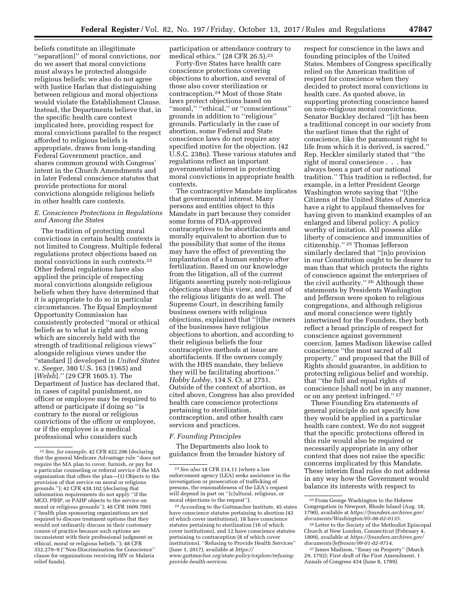beliefs constitute an illegitimate ''separat[ion]'' of moral convictions, nor do we assert that moral convictions must always be protected alongside religious beliefs; we also do not agree with Justice Harlan that distinguishing between religious and moral objections would violate the Establishment Clause. Instead, the Departments believe that, in the specific health care context implicated here, providing respect for moral convictions parallel to the respect afforded to religious beliefs is appropriate, draws from long-standing Federal Government practice, and shares common ground with Congress' intent in the Church Amendments and in later Federal conscience statutes that provide protections for moral convictions alongside religious beliefs in other health care contexts.

# *E. Conscience Protections in Regulations and Among the States*

The tradition of protecting moral convictions in certain health contexts is not limited to Congress. Multiple federal regulations protect objections based on moral convictions in such contexts.<sup>22</sup> Other federal regulations have also applied the principle of respecting moral convictions alongside religious beliefs when they have determined that it is appropriate to do so in particular circumstances. The Equal Employment Opportunity Commission has consistently protected ''moral or ethical beliefs as to what is right and wrong which are sincerely held with the strength of traditional religious views'' alongside religious views under the ''standard [] developed in *United States*  v. *Seeger,* 380 U.S. 163 (1965) and [*Welsh*].'' (29 CFR 1605.1). The Department of Justice has declared that, in cases of capital punishment, no officer or employee may be required to attend or participate if doing so ''is contrary to the moral or religious convictions of the officer or employee, or if the employee is a medical professional who considers such

participation or attendance contrary to medical ethics.'' (28 CFR 26.5).23

Forty-five States have health care conscience protections covering objections to abortion, and several of those also cover sterilization or contraception.24 Most of those State laws protect objections based on "moral," "ethical," or "conscientious" grounds in addition to ''religious'' grounds. Particularly in the case of abortion, some Federal and State conscience laws do not require any specified motive for the objection. (42 U.S.C. 238n). These various statutes and regulations reflect an important governmental interest in protecting moral convictions in appropriate health contexts.

The contraceptive Mandate implicates that governmental interest. Many persons and entities object to this Mandate in part because they consider some forms of FDA-approved contraceptives to be abortifacients and morally equivalent to abortion due to the possibility that some of the items may have the effect of preventing the implantation of a human embryo after fertilization. Based on our knowledge from the litigation, all of the current litigants asserting purely non-religious objections share this view, and most of the religious litigants do as well. The Supreme Court, in describing family business owners with religious objections, explained that ''[t]he owners of the businesses have religious objections to abortion, and according to their religious beliefs the four contraceptive methods at issue are abortifacients. If the owners comply with the HHS mandate, they believe they will be facilitating abortions.'' *Hobby Lobby,* 134 S. Ct. at 2751. Outside of the context of abortion, as cited above, Congress has also provided health care conscience protections pertaining to sterilization, contraception, and other health care services and practices.

## *F. Founding Principles*

The Departments also look to guidance from the broader history of respect for conscience in the laws and founding principles of the United States. Members of Congress specifically relied on the American tradition of respect for conscience when they decided to protect moral convictions in health care. As quoted above, in supporting protecting conscience based on non-religious moral convictions, Senator Buckley declared ''[i]t has been a traditional concept in our society from the earliest times that the right of conscience, like the paramount right to life from which it is derived, is sacred.'' Rep. Heckler similarly stated that ''the right of moral conscience . . . has always been a part of our national tradition.'' This tradition is reflected, for example, in a letter President George Washington wrote saying that ''[t]he Citizens of the United States of America have a right to applaud themselves for having given to mankind examples of an enlarged and liberal policy: A policy worthy of imitation. All possess alike liberty of conscience and immunities of citizenship.'' 25 Thomas Jefferson similarly declared that ''[n]o provision in our Constitution ought to be dearer to man than that which protects the rights of conscience against the enterprises of the civil authority.'' 26 Although these statements by Presidents Washington and Jefferson were spoken to religious congregations, and although religious and moral conscience were tightly intertwined for the Founders, they both reflect a broad principle of respect for conscience against government coercion. James Madison likewise called conscience ''the most sacred of all property,'' and proposed that the Bill of Rights should guarantee, in addition to protecting religious belief and worship, that ''the full and equal rights of conscience [shall not] be in any manner, or on any pretext infringed.'' 27

These Founding Era statements of general principle do not specify how they would be applied in a particular health care context. We do not suggest that the specific protections offered in this rule would also be required or necessarily appropriate in any other context that does not raise the specific concerns implicated by this Mandate. These interim final rules do not address in any way how the Government would balance its interests with respect to

<sup>22</sup>*See, for example,* 42 CFR 422.206 (declaring that the general Medicare Advantage rule ''does not require the MA plan to cover, furnish, or pay for a particular counseling or referral service if the MA organization that offers the plan—(1) Objects to the provision of that service on moral or religious grounds.''); 42 CFR 438.102 (declaring that information requirements do not apply ''if the MCO, PIHP, or PAHP objects to the service on moral or religious grounds''); 48 CFR 1609.7001 (''health plan sponsoring organizations are not required to discuss treatment options that they would not ordinarily discuss in their customary course of practice because such options are inconsistent with their professional judgment or ethical, moral or religious beliefs.''); 48 CFR 352.270–9 (''Non-Discrimination for Conscience'' clause for organizations receiving HIV or Malaria relief funds).

<sup>23</sup>*See also* 18 CFR 214.11 (where a law enforcement agency (LEA) seeks assistance in the investigation or prosecution of trafficking of persons, the reasonableness of the LEA's request will depend in part on ''[c]ultural, religious, or moral objections to the request'').

<sup>24</sup>According to the Guttmacher Institute, 45 states have conscience statutes pertaining to abortion (43 of which cover institutions), 18 have conscience statutes pertaining to sterilization (16 of which cover institutions), and 12 have conscience statutes pertaining to contraception (8 of which cover institutions). ''Refusing to Provide Health Services'' (June 1, 2017), available at *[https://](https://www.guttmacher.org/state-policy/explore/refusing-provide-health-services) [www.guttmacher.org/state-policy/explore/refusing](https://www.guttmacher.org/state-policy/explore/refusing-provide-health-services)[provide-health-services.](https://www.guttmacher.org/state-policy/explore/refusing-provide-health-services)* 

<sup>25</sup>From George Washington to the Hebrew Congregation in Newport, Rhode Island (Aug. 18, 1790), available at *[https://founders.archives.gov/](https://founders.archives.gov/documents/Washington/05-06-02-0135)  [documents/Washington/05-06-02-0135.](https://founders.archives.gov/documents/Washington/05-06-02-0135)* 

<sup>26</sup>Letter to the Society of the Methodist Episcopal Church at New London, Connecticut (February 4, 1809), available at *[https://founders.archives.gov/](https://founders.archives.gov/documents/Jefferson/99-01-02-9714)  [documents/Jefferson/99-01-02-9714.](https://founders.archives.gov/documents/Jefferson/99-01-02-9714)* 

<sup>27</sup> James Madison, ''Essay on Property'' (March 29, 1792); First draft of the First Amendment, 1 Annals of Congress 434 (June 8, 1789).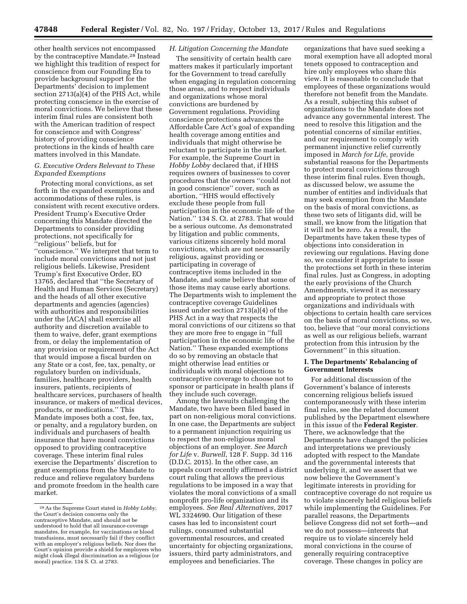other health services not encompassed by the contraceptive Mandate.28 Instead we highlight this tradition of respect for conscience from our Founding Era to provide background support for the Departments' decision to implement section 2713(a)(4) of the PHS Act, while protecting conscience in the exercise of moral convictions. We believe that these interim final rules are consistent both with the American tradition of respect for conscience and with Congress' history of providing conscience protections in the kinds of health care matters involved in this Mandate.

# *G. Executive Orders Relevant to These Expanded Exemptions*

Protecting moral convictions, as set forth in the expanded exemptions and accommodations of these rules, is consistent with recent executive orders. President Trump's Executive Order concerning this Mandate directed the Departments to consider providing protections, not specifically for ''religious'' beliefs, but for ''conscience.'' We interpret that term to include moral convictions and not just religious beliefs. Likewise, President Trump's first Executive Order, EO 13765, declared that ''the Secretary of Health and Human Services (Secretary) and the heads of all other executive departments and agencies (agencies) with authorities and responsibilities under the [ACA] shall exercise all authority and discretion available to them to waive, defer, grant exemptions from, or delay the implementation of any provision or requirement of the Act that would impose a fiscal burden on any State or a cost, fee, tax, penalty, or regulatory burden on individuals, families, healthcare providers, health insurers, patients, recipients of healthcare services, purchasers of health insurance, or makers of medical devices, products, or medications.'' This Mandate imposes both a cost, fee, tax, or penalty, and a regulatory burden, on individuals and purchasers of health insurance that have moral convictions opposed to providing contraceptive coverage. These interim final rules exercise the Departments' discretion to grant exemptions from the Mandate to reduce and relieve regulatory burdens and promote freedom in the health care market.

## *H. Litigation Concerning the Mandate*

The sensitivity of certain health care matters makes it particularly important for the Government to tread carefully when engaging in regulation concerning those areas, and to respect individuals and organizations whose moral convictions are burdened by Government regulations. Providing conscience protections advances the Affordable Care Act's goal of expanding health coverage among entities and individuals that might otherwise be reluctant to participate in the market. For example, the Supreme Court in *Hobby Lobby* declared that, if HHS requires owners of businesses to cover procedures that the owners ''could not in good conscience'' cover, such as abortion, ''HHS would effectively exclude these people from full participation in the economic life of the Nation.'' 134 S. Ct. at 2783. That would be a serious outcome. As demonstrated by litigation and public comments, various citizens sincerely hold moral convictions, which are not necessarily religious, against providing or participating in coverage of contraceptive items included in the Mandate, and some believe that some of those items may cause early abortions. The Departments wish to implement the contraceptive coverage Guidelines issued under section 2713(a)(4) of the PHS Act in a way that respects the moral convictions of our citizens so that they are more free to engage in ''full participation in the economic life of the Nation.'' These expanded exemptions do so by removing an obstacle that might otherwise lead entities or individuals with moral objections to contraceptive coverage to choose not to sponsor or participate in health plans if they include such coverage.

Among the lawsuits challenging the Mandate, two have been filed based in part on non-religious moral convictions. In one case, the Departments are subject to a permanent injunction requiring us to respect the non-religious moral objections of an employer. *See March for Life* v. *Burwell,* 128 F. Supp. 3d 116 (D.D.C. 2015). In the other case, an appeals court recently affirmed a district court ruling that allows the previous regulations to be imposed in a way that violates the moral convictions of a small nonprofit pro-life organization and its employees. *See Real Alternatives,* 2017 WL 3324690. Our litigation of these cases has led to inconsistent court rulings, consumed substantial governmental resources, and created uncertainty for objecting organizations, issuers, third party administrators, and employees and beneficiaries. The

organizations that have sued seeking a moral exemption have all adopted moral tenets opposed to contraception and hire only employees who share this view. It is reasonable to conclude that employees of these organizations would therefore not benefit from the Mandate. As a result, subjecting this subset of organizations to the Mandate does not advance any governmental interest. The need to resolve this litigation and the potential concerns of similar entities, and our requirement to comply with permanent injunctive relief currently imposed in *March for Life,* provide substantial reasons for the Departments to protect moral convictions through these interim final rules. Even though, as discussed below, we assume the number of entities and individuals that may seek exemption from the Mandate on the basis of moral convictions, as these two sets of litigants did, will be small, we know from the litigation that it will not be zero. As a result, the Departments have taken these types of objections into consideration in reviewing our regulations. Having done so, we consider it appropriate to issue the protections set forth in these interim final rules. Just as Congress, in adopting the early provisions of the Church Amendments, viewed it as necessary and appropriate to protect those organizations and individuals with objections to certain health care services on the basis of moral convictions, so we, too, believe that ''our moral convictions as well as our religious beliefs, warrant protection from this intrusion by the Government'' in this situation.

## **I. The Departments' Rebalancing of Government Interests**

For additional discussion of the Government's balance of interests concerning religious beliefs issued contemporaneously with these interim final rules, see the related document published by the Department elsewhere in this issue of the **Federal Register**. There, we acknowledge that the Departments have changed the policies and interpretations we previously adopted with respect to the Mandate and the governmental interests that underlying it, and we assert that we now believe the Government's legitimate interests in providing for contraceptive coverage do not require us to violate sincerely held religious beliefs while implementing the Guidelines. For parallel reasons, the Departments believe Congress did not set forth—and we do not possess—interests that require us to violate sincerely held moral convictions in the course of generally requiring contraceptive coverage. These changes in policy are

<sup>28</sup>As the Supreme Court stated in *Hobby Lobby,*  the Court's decision concerns only the contraceptive Mandate, and should not be understood to hold that all insurance-coverage mandates, for example, for vaccinations or blood transfusions, must necessarily fail if they conflict with an employer's religious beliefs. Nor does the Court's opinion provide a shield for employers who might cloak illegal discrimination as a religious (or moral) practice. 134 S. Ct. at 2783.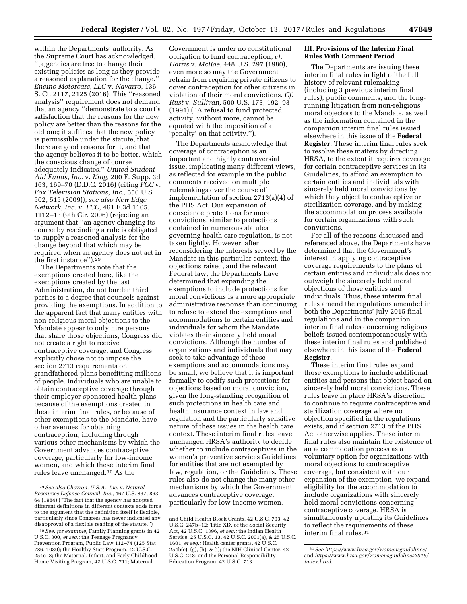within the Departments' authority. As the Supreme Court has acknowledged, ''[a]gencies are free to change their existing policies as long as they provide a reasoned explanation for the change.'' *Encino Motorcars, LLC* v. *Navarro,* 136 S. Ct. 2117, 2125 (2016). This ''reasoned analysis'' requirement does not demand that an agency ''demonstrate to a court's satisfaction that the reasons for the new policy are better than the reasons for the old one; it suffices that the new policy is permissible under the statute, that there are good reasons for it, and that the agency believes it to be better, which the conscious change of course adequately indicates.'' *United Student Aid Funds, Inc.* v. *King,* 200 F. Supp. 3d 163, 169–70 (D.D.C. 2016) (citing *FCC* v. *Fox Television Stations, Inc.,* 556 U.S. 502, 515 (2009)); *see also New Edge Network, Inc.* v. *FCC,* 461 F.3d 1105, 1112–13 (9th Cir. 2006) (rejecting an argument that ''an agency changing its course by rescinding a rule is obligated to supply a reasoned analysis for the change beyond that which may be required when an agency does not act in the first instance").<sup>29</sup>

The Departments note that the exemptions created here, like the exemptions created by the last Administration, do not burden third parties to a degree that counsels against providing the exemptions. In addition to the apparent fact that many entities with non-religious moral objections to the Mandate appear to only hire persons that share those objections, Congress did not create a right to receive contraceptive coverage, and Congress explicitly chose not to impose the section 2713 requirements on grandfathered plans benefitting millions of people. Individuals who are unable to obtain contraceptive coverage through their employer-sponsored health plans because of the exemptions created in these interim final rules, or because of other exemptions to the Mandate, have other avenues for obtaining contraception, including through various other mechanisms by which the Government advances contraceptive coverage, particularly for low-income women, and which these interim final rules leave unchanged.30 As the

Government is under no constitutional obligation to fund contraception, *cf. Harris* v. *McRae,* 448 U.S. 297 (1980), even more so may the Government refrain from requiring private citizens to cover contraception for other citizens in violation of their moral convictions. *Cf. Rust* v. *Sullivan,* 500 U.S. 173, 192–93 (1991) (''A refusal to fund protected activity, without more, cannot be equated with the imposition of a 'penalty' on that activity.'').

The Departments acknowledge that coverage of contraception is an important and highly controversial issue, implicating many different views, as reflected for example in the public comments received on multiple rulemakings over the course of implementation of section 2713(a)(4) of the PHS Act. Our expansion of conscience protections for moral convictions, similar to protections contained in numerous statutes governing health care regulation, is not taken lightly. However, after reconsidering the interests served by the Mandate in this particular context, the objections raised, and the relevant Federal law, the Departments have determined that expanding the exemptions to include protections for moral convictions is a more appropriate administrative response than continuing to refuse to extend the exemptions and accommodations to certain entities and individuals for whom the Mandate violates their sincerely held moral convictions. Although the number of organizations and individuals that may seek to take advantage of these exemptions and accommodations may be small, we believe that it is important formally to codify such protections for objections based on moral conviction, given the long-standing recognition of such protections in health care and health insurance context in law and regulation and the particularly sensitive nature of these issues in the health care context. These interim final rules leave unchanged HRSA's authority to decide whether to include contraceptives in the women's preventive services Guidelines for entities that are not exempted by law, regulation, or the Guidelines. These rules also do not change the many other mechanisms by which the Government advances contraceptive coverage, particularly for low-income women.

# **III. Provisions of the Interim Final Rules With Comment Period**

The Departments are issuing these interim final rules in light of the full history of relevant rulemaking (including 3 previous interim final rules), public comments, and the longrunning litigation from non-religious moral objectors to the Mandate, as well as the information contained in the companion interim final rules issued elsewhere in this issue of the **Federal Register**. These interim final rules seek to resolve these matters by directing HRSA, to the extent it requires coverage for certain contraceptive services in its Guidelines, to afford an exemption to certain entities and individuals with sincerely held moral convictions by which they object to contraceptive or sterilization coverage, and by making the accommodation process available for certain organizations with such convictions.

For all of the reasons discussed and referenced above, the Departments have determined that the Government's interest in applying contraceptive coverage requirements to the plans of certain entities and individuals does not outweigh the sincerely held moral objections of those entities and individuals. Thus, these interim final rules amend the regulations amended in both the Departments' July 2015 final regulations and in the companion interim final rules concerning religious beliefs issued contemporaneously with these interim final rules and published elsewhere in this issue of the **Federal Register**.

These interim final rules expand those exemptions to include additional entities and persons that object based on sincerely held moral convictions. These rules leave in place HRSA's discretion to continue to require contraceptive and sterilization coverage where no objection specified in the regulations exists, and if section 2713 of the PHS Act otherwise applies. These interim final rules also maintain the existence of an accommodation process as a voluntary option for organizations with moral objections to contraceptive coverage, but consistent with our expansion of the exemption, we expand eligibility for the accommodation to include organizations with sincerely held moral convictions concerning contraceptive coverage. HRSA is simultaneously updating its Guidelines to reflect the requirements of these interim final rules.31

<sup>29</sup>*See also Chevron, U.S.A., Inc.* v. *Natural Resources Defense Council, Inc.,* 467 U.S. 837, 863– 64 (1984) (''The fact that the agency has adopted different definitions in different contexts adds force to the argument that the definition itself is flexible, particularly since Congress has never indicated any disapproval of a flexible reading of the statute.'')

<sup>30</sup>*See, for example,* Family Planning grants in 42 U.S.C. 300, *et seq.;* the Teenage Pregnancy Prevention Program, Public Law 112–74 (125 Stat 786, 1080); the Healthy Start Program, 42 U.S.C. 254c–8; the Maternal, Infant, and Early Childhood Home Visiting Program, 42 U.S.C. 711; Maternal

and Child Health Block Grants, 42 U.S.C. 703; 42 U.S.C. 247b–12; Title XIX of the Social Security Act, 42 U.S.C. 1396, *et seq.;* the Indian Health Service, 25 U.S.C. 13, 42 U.S.C. 2001(a), & 25 U.S.C. 1601, *et seq.;* Health center grants, 42 U.S.C.  $254b(e)$ , (g), (h), & (i); the NIH Clinical Center,  $42$ U.S.C. 248; and the Personal Responsibility Education Program, 42 U.S.C. 713.

<sup>31</sup>*See<https://www.hrsa.gov/womensguidelines/>* and *[https://www.hrsa.gov/womensguidelines2016/](https://www.hrsa.gov/womensguidelines2016/index.html)  [index.html](https://www.hrsa.gov/womensguidelines2016/index.html)*.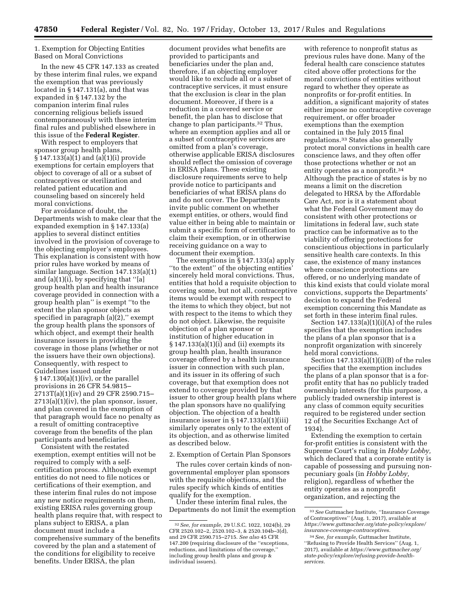1. Exemption for Objecting Entities Based on Moral Convictions

In the new 45 CFR 147.133 as created by these interim final rules, we expand the exemption that was previously located in § 147.131(a), and that was expanded in § 147.132 by the companion interim final rules concerning religious beliefs issued contemporaneously with these interim final rules and published elsewhere in this issue of the **Federal Register**.

With respect to employers that sponsor group health plans, § 147.133(a)(1) and (a)(1)(i) provide exemptions for certain employers that object to coverage of all or a subset of contraceptives or sterilization and related patient education and counseling based on sincerely held moral convictions.

For avoidance of doubt, the Departments wish to make clear that the expanded exemption in § 147.133(a) applies to several distinct entities involved in the provision of coverage to the objecting employer's employees. This explanation is consistent with how prior rules have worked by means of similar language. Section 147.133(a)(1) and (a)(1)(i), by specifying that ''[a] group health plan and health insurance coverage provided in connection with a group health plan'' is exempt ''to the extent the plan sponsor objects as specified in paragraph  $(a)(2)$ ," exempt the group health plans the sponsors of which object, and exempt their health insurance issuers in providing the coverage in those plans (whether or not the issuers have their own objections). Consequently, with respect to Guidelines issued under  $§ 147.130(a)(1)(iv)$ , or the parallel provisions in 26 CFR 54.9815– 2713T(a)(1)(iv) and 29 CFR 2590.715–  $2713(a)(1)(iv)$ , the plan sponsor, issuer, and plan covered in the exemption of that paragraph would face no penalty as a result of omitting contraceptive coverage from the benefits of the plan participants and beneficiaries.

Consistent with the restated exemption, exempt entities will not be required to comply with a selfcertification process. Although exempt entities do not need to file notices or certifications of their exemption, and these interim final rules do not impose any new notice requirements on them, existing ERISA rules governing group health plans require that, with respect to plans subject to ERISA, a plan document must include a comprehensive summary of the benefits covered by the plan and a statement of the conditions for eligibility to receive benefits. Under ERISA, the plan

document provides what benefits are provided to participants and beneficiaries under the plan and, therefore, if an objecting employer would like to exclude all or a subset of contraceptive services, it must ensure that the exclusion is clear in the plan document. Moreover, if there is a reduction in a covered service or benefit, the plan has to disclose that change to plan participants.32 Thus, where an exemption applies and all or a subset of contraceptive services are omitted from a plan's coverage, otherwise applicable ERISA disclosures should reflect the omission of coverage in ERISA plans. These existing disclosure requirements serve to help provide notice to participants and beneficiaries of what ERISA plans do and do not cover. The Departments invite public comment on whether exempt entities, or others, would find value either in being able to maintain or submit a specific form of certification to claim their exemption, or in otherwise receiving guidance on a way to document their exemption.

The exemptions in § 147.133(a) apply ''to the extent'' of the objecting entities' sincerely held moral convictions. Thus, entities that hold a requisite objection to covering some, but not all, contraceptive items would be exempt with respect to the items to which they object, but not with respect to the items to which they do not object. Likewise, the requisite objection of a plan sponsor or institution of higher education in § 147.133(a)(1)(i) and (ii) exempts its group health plan, health insurance coverage offered by a health insurance issuer in connection with such plan, and its issuer in its offering of such coverage, but that exemption does not extend to coverage provided by that issuer to other group health plans where the plan sponsors have no qualifying objection. The objection of a health insurance issuer in  $\S 147.133(a)(1)(iii)$ similarly operates only to the extent of its objection, and as otherwise limited as described below.

2. Exemption of Certain Plan Sponsors

The rules cover certain kinds of nongovernmental employer plan sponsors with the requisite objections, and the rules specify which kinds of entities qualify for the exemption.

Under these interim final rules, the Departments do not limit the exemption

with reference to nonprofit status as previous rules have done. Many of the federal health care conscience statutes cited above offer protections for the moral convictions of entities without regard to whether they operate as nonprofits or for-profit entities. In addition, a significant majority of states either impose no contraceptive coverage requirement, or offer broader exemptions than the exemption contained in the July 2015 final regulations.33 States also generally protect moral convictions in health care conscience laws, and they often offer those protections whether or not an entity operates as a nonprofit.34 Although the practice of states is by no means a limit on the discretion delegated to HRSA by the Affordable Care Act, nor is it a statement about what the Federal Government may do consistent with other protections or limitations in federal law, such state practice can be informative as to the viability of offering protections for conscientious objections in particularly sensitive health care contexts. In this case, the existence of many instances where conscience protections are offered, or no underlying mandate of this kind exists that could violate moral convictions, supports the Departments' decision to expand the Federal exemption concerning this Mandate as set forth in these interim final rules.

Section  $147.133(a)(1)(i)(A)$  of the rules specifies that the exemption includes the plans of a plan sponsor that is a nonprofit organization with sincerely held moral convictions.

Section  $147.133(a)(1)(i)(B)$  of the rules specifies that the exemption includes the plans of a plan sponsor that is a forprofit entity that has no publicly traded ownership interests (for this purpose, a publicly traded ownership interest is any class of common equity securities required to be registered under section 12 of the Securities Exchange Act of 1934).

Extending the exemption to certain for-profit entities is consistent with the Supreme Court's ruling in *Hobby Lobby,*  which declared that a corporate entity is capable of possessing and pursuing nonpecuniary goals (in *Hobby Lobby,*  religion), regardless of whether the entity operates as a nonprofit organization, and rejecting the

<sup>32</sup>*See, for example,* 29 U.S.C. 1022, 1024(b), 29 CFR 2520.102–2, 2520.102–3, & 2520.104b–3(d), and 29 CFR 2590.715–2715. *See also* 45 CFR 147.200 (requiring disclosure of the ''exceptions, reductions, and limitations of the coverage,'' including group health plans and group & individual issuers).

<sup>33</sup>*See* Guttmacher Institute, ''Insurance Coverage of Contraceptives'' (Aug. 1, 2017), available at *[https://www.guttmacher.org/state-policy/explore/](https://www.guttmacher.org/state-policy/explore/insurance-coverage-contraceptives)  [insurance-coverage-contraceptives.](https://www.guttmacher.org/state-policy/explore/insurance-coverage-contraceptives)* 

<sup>34</sup>*See, for example,* Guttmacher Institute, ''Refusing to Provide Health Services'' (Aug. 1, 2017), available at *[https://www.guttmacher.org/](https://www.guttmacher.org/state-policy/explore/refusing-provide-health-services)  [state-policy/explore/refusing-provide-health](https://www.guttmacher.org/state-policy/explore/refusing-provide-health-services)[services.](https://www.guttmacher.org/state-policy/explore/refusing-provide-health-services)*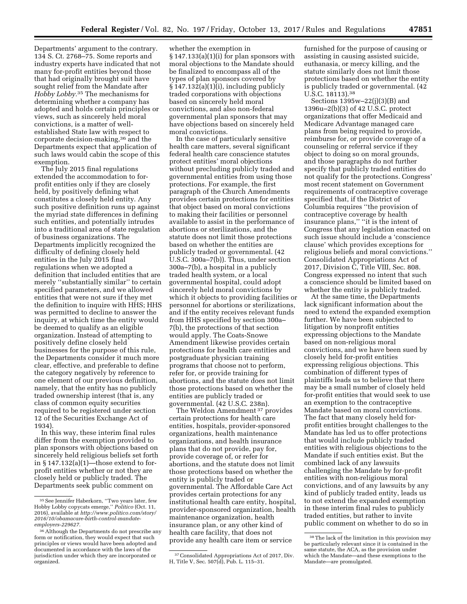Departments' argument to the contrary. 134 S. Ct. 2768–75. Some reports and industry experts have indicated that not many for-profit entities beyond those that had originally brought suit have sought relief from the Mandate after *Hobby Lobby.*35 The mechanisms for determining whether a company has adopted and holds certain principles or views, such as sincerely held moral convictions, is a matter of wellestablished State law with respect to corporate decision-making,36 and the Departments expect that application of such laws would cabin the scope of this exemption.

The July 2015 final regulations extended the accommodation to forprofit entities only if they are closely held, by positively defining what constitutes a closely held entity. Any such positive definition runs up against the myriad state differences in defining such entities, and potentially intrudes into a traditional area of state regulation of business organizations. The Departments implicitly recognized the difficulty of defining closely held entities in the July 2015 final regulations when we adopted a definition that included entities that are merely ''substantially similar'' to certain specified parameters, and we allowed entities that were not sure if they met the definition to inquire with HHS; HHS was permitted to decline to answer the inquiry, at which time the entity would be deemed to qualify as an eligible organization. Instead of attempting to positively define closely held businesses for the purpose of this rule, the Departments consider it much more clear, effective, and preferable to define the category negatively by reference to one element of our previous definition, namely, that the entity has no publicly traded ownership interest (that is, any class of common equity securities required to be registered under section 12 of the Securities Exchange Act of 1934).

In this way, these interim final rules differ from the exemption provided to plan sponsors with objections based on sincerely held religious beliefs set forth in  $§ 147.132(a)(1)$ —those extend to forprofit entities whether or not they are closely held or publicly traded. The Departments seek public comment on

whether the exemption in § 147.133(a)(1)(i) for plan sponsors with moral objections to the Mandate should be finalized to encompass all of the types of plan sponsors covered by  $§ 147.132(a)(1)(i)$ , including publicly traded corporations with objections based on sincerely held moral convictions, and also non-federal governmental plan sponsors that may have objections based on sincerely held moral convictions.

In the case of particularly sensitive health care matters, several significant federal health care conscience statutes protect entities' moral objections without precluding publicly traded and governmental entities from using those protections. For example, the first paragraph of the Church Amendments provides certain protections for entities that object based on moral convictions to making their facilities or personnel available to assist in the performance of abortions or sterilizations, and the statute does not limit those protections based on whether the entities are publicly traded or governmental. (42 U.S.C. 300a–7(b)). Thus, under section 300a–7(b), a hospital in a publicly traded health system, or a local governmental hospital, could adopt sincerely held moral convictions by which it objects to providing facilities or personnel for abortions or sterilizations, and if the entity receives relevant funds from HHS specified by section 300a– 7(b), the protections of that section would apply. The Coats-Snowe Amendment likewise provides certain protections for health care entities and postgraduate physician training programs that choose not to perform, refer for, or provide training for abortions, and the statute does not limit those protections based on whether the entities are publicly traded or governmental. (42 U.S.C. 238n).

The Weldon Amendment 37 provides certain protections for health care entities, hospitals, provider-sponsored organizations, health maintenance organizations, and health insurance plans that do not provide, pay for, provide coverage of, or refer for abortions, and the statute does not limit those protections based on whether the entity is publicly traded or governmental. The Affordable Care Act provides certain protections for any institutional health care entity, hospital, provider-sponsored organization, health maintenance organization, health insurance plan, or any other kind of health care facility, that does not provide any health care item or service

furnished for the purpose of causing or assisting in causing assisted suicide, euthanasia, or mercy killing, and the statute similarly does not limit those protections based on whether the entity is publicly traded or governmental. (42 U.S.C. 18113).38

Sections 1395w–22(j)(3)(B) and 1396u–2(b)(3) of 42 U.S.C. protect organizations that offer Medicaid and Medicare Advantage managed care plans from being required to provide, reimburse for, or provide coverage of a counseling or referral service if they object to doing so on moral grounds, and those paragraphs do not further specify that publicly traded entities do not qualify for the protections. Congress' most recent statement on Government requirements of contraceptive coverage specified that, if the District of Columbia requires ''the provision of contraceptive coverage by health insurance plans,'' ''it is the intent of Congress that any legislation enacted on such issue should include a 'conscience clause' which provides exceptions for religious beliefs and moral convictions.'' Consolidated Appropriations Act of 2017, Division C, Title VIII, Sec. 808. Congress expressed no intent that such a conscience should be limited based on whether the entity is publicly traded.

At the same time, the Departments lack significant information about the need to extend the expanded exemption further. We have been subjected to litigation by nonprofit entities expressing objections to the Mandate based on non-religious moral convictions, and we have been sued by closely held for-profit entities expressing religious objections. This combination of different types of plaintiffs leads us to believe that there may be a small number of closely held for-profit entities that would seek to use an exemption to the contraceptive Mandate based on moral convictions. The fact that many closely held forprofit entities brought challenges to the Mandate has led us to offer protections that would include publicly traded entities with religious objections to the Mandate if such entities exist. But the combined lack of any lawsuits challenging the Mandate by for-profit entities with non-religious moral convictions, and of any lawsuits by any kind of publicly traded entity, leads us to not extend the expanded exemption in these interim final rules to publicly traded entities, but rather to invite public comment on whether to do so in

<sup>35</sup>See Jennifer Haberkorn, ''Two years later, few Hobby Lobby copycats emerge,'' *Politico* (Oct. 11, 2016), available at *[http://www.politico.com/story/](http://www.politico.com/story/2016/10/obamacare-birth-control-mandate-employers-229627)  [2016/10/obamacare-birth-control-mandate](http://www.politico.com/story/2016/10/obamacare-birth-control-mandate-employers-229627)[employers-229627.](http://www.politico.com/story/2016/10/obamacare-birth-control-mandate-employers-229627)* 

<sup>&</sup>lt;sup>36</sup> Although the Departments do not prescribe any form or notification, they would expect that such principles or views would have been adopted and documented in accordance with the laws of the jurisdiction under which they are incorporated or organized.

<sup>37</sup>Consolidated Appropriations Act of 2017, Div. H, Title V, Sec. 507(d), Pub. L. 115–31.

<sup>38</sup>The lack of the limitation in this provision may be particularly relevant since it is contained in the same statute, the ACA, as the provision under which the Mandate—and these exemptions to the Mandate—are promulgated.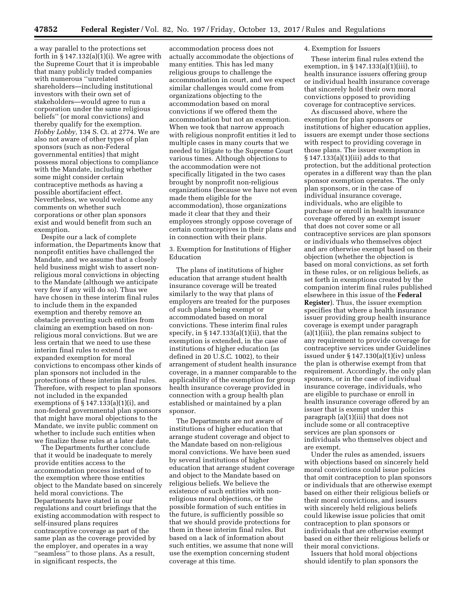a way parallel to the protections set forth in  $\S 147.132(a)(1)(i)$ . We agree with the Supreme Court that it is improbable that many publicly traded companies with numerous ''unrelated shareholders—including institutional investors with their own set of stakeholders—would agree to run a corporation under the same religious beliefs'' (or moral convictions) and thereby qualify for the exemption. *Hobby Lobby,* 134 S. Ct. at 2774. We are also not aware of other types of plan sponsors (such as non-Federal governmental entities) that might possess moral objections to compliance with the Mandate, including whether some might consider certain contraceptive methods as having a possible abortifacient effect. Nevertheless, we would welcome any comments on whether such corporations or other plan sponsors exist and would benefit from such an exemption.

Despite our a lack of complete information, the Departments know that nonprofit entities have challenged the Mandate, and we assume that a closely held business might wish to assert nonreligious moral convictions in objecting to the Mandate (although we anticipate very few if any will do so). Thus we have chosen in these interim final rules to include them in the expanded exemption and thereby remove an obstacle preventing such entities from claiming an exemption based on nonreligious moral convictions. But we are less certain that we need to use these interim final rules to extend the expanded exemption for moral convictions to encompass other kinds of plan sponsors not included in the protections of these interim final rules. Therefore, with respect to plan sponsors not included in the expanded exemptions of  $\S 147.133(a)(1)(i)$ , and non-federal governmental plan sponsors that might have moral objections to the Mandate, we invite public comment on whether to include such entities when we finalize these rules at a later date.

The Departments further conclude that it would be inadequate to merely provide entities access to the accommodation process instead of to the exemption where those entities object to the Mandate based on sincerely held moral convictions. The Departments have stated in our regulations and court briefings that the existing accommodation with respect to self-insured plans requires contraceptive coverage as part of the same plan as the coverage provided by the employer, and operates in a way ''seamless'' to those plans. As a result, in significant respects, the

accommodation process does not actually accommodate the objections of many entities. This has led many religious groups to challenge the accommodation in court, and we expect similar challenges would come from organizations objecting to the accommodation based on moral convictions if we offered them the accommodation but not an exemption. When we took that narrow approach with religious nonprofit entities it led to multiple cases in many courts that we needed to litigate to the Supreme Court various times. Although objections to the accommodation were not specifically litigated in the two cases brought by nonprofit non-religious organizations (because we have not even made them eligible for the accommodation), those organizations made it clear that they and their employees strongly oppose coverage of certain contraceptives in their plans and in connection with their plans.

3. Exemption for Institutions of Higher Education

The plans of institutions of higher education that arrange student health insurance coverage will be treated similarly to the way that plans of employers are treated for the purposes of such plans being exempt or accommodated based on moral convictions. These interim final rules specify, in  $\S 147.133(a)(1)(ii)$ , that the exemption is extended, in the case of institutions of higher education (as defined in 20 U.S.C. 1002), to their arrangement of student health insurance coverage, in a manner comparable to the applicability of the exemption for group health insurance coverage provided in connection with a group health plan established or maintained by a plan sponsor.

The Departments are not aware of institutions of higher education that arrange student coverage and object to the Mandate based on non-religious moral convictions. We have been sued by several institutions of higher education that arrange student coverage and object to the Mandate based on religious beliefs. We believe the existence of such entities with nonreligious moral objections, or the possible formation of such entities in the future, is sufficiently possible so that we should provide protections for them in these interim final rules. But based on a lack of information about such entities, we assume that none will use the exemption concerning student coverage at this time.

#### 4. Exemption for Issuers

These interim final rules extend the exemption, in § 147.133(a)(1)(iii), to health insurance issuers offering group or individual health insurance coverage that sincerely hold their own moral convictions opposed to providing coverage for contraceptive services.

As discussed above, where the exemption for plan sponsors or institutions of higher education applies, issuers are exempt under those sections with respect to providing coverage in those plans. The issuer exemption in § 147.133(a)(1)(iii) adds to that protection, but the additional protection operates in a different way than the plan sponsor exemption operates. The only plan sponsors, or in the case of individual insurance coverage, individuals, who are eligible to purchase or enroll in health insurance coverage offered by an exempt issuer that does not cover some or all contraceptive services are plan sponsors or individuals who themselves object and are otherwise exempt based on their objection (whether the objection is based on moral convictions, as set forth in these rules, or on religious beliefs, as set forth in exemptions created by the companion interim final rules published elsewhere in this issue of the **Federal Register**). Thus, the issuer exemption specifies that where a health insurance issuer providing group health insurance coverage is exempt under paragraph (a)(1)(iii), the plan remains subject to any requirement to provide coverage for contraceptive services under Guidelines issued under § 147.130(a)(1)(iv) unless the plan is otherwise exempt from that requirement. Accordingly, the only plan sponsors, or in the case of individual insurance coverage, individuals, who are eligible to purchase or enroll in health insurance coverage offered by an issuer that is exempt under this paragraph (a)(1)(iii) that does not include some or all contraceptive services are plan sponsors or individuals who themselves object and are exempt.

Under the rules as amended, issuers with objections based on sincerely held moral convictions could issue policies that omit contraception to plan sponsors or individuals that are otherwise exempt based on either their religious beliefs or their moral convictions, and issuers with sincerely held religious beliefs could likewise issue policies that omit contraception to plan sponsors or individuals that are otherwise exempt based on either their religious beliefs or their moral convictions.

Issuers that hold moral objections should identify to plan sponsors the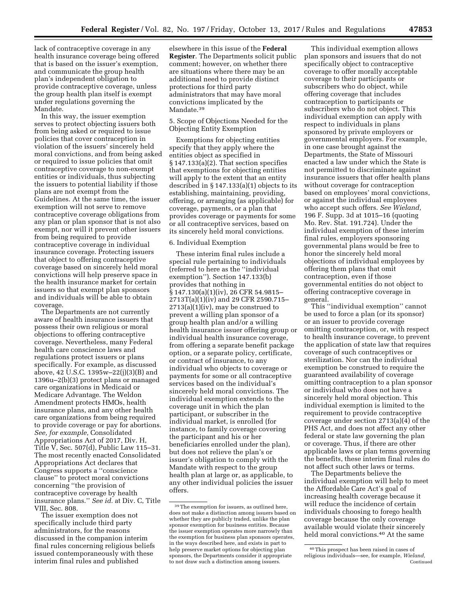lack of contraceptive coverage in any health insurance coverage being offered that is based on the issuer's exemption, and communicate the group health plan's independent obligation to provide contraceptive coverage, unless the group health plan itself is exempt under regulations governing the Mandate.

In this way, the issuer exemption serves to protect objecting issuers both from being asked or required to issue policies that cover contraception in violation of the issuers' sincerely held moral convictions, and from being asked or required to issue policies that omit contraceptive coverage to non-exempt entities or individuals, thus subjecting the issuers to potential liability if those plans are not exempt from the Guidelines. At the same time, the issuer exemption will not serve to remove contraceptive coverage obligations from any plan or plan sponsor that is not also exempt, nor will it prevent other issuers from being required to provide contraceptive coverage in individual insurance coverage. Protecting issuers that object to offering contraceptive coverage based on sincerely held moral convictions will help preserve space in the health insurance market for certain issuers so that exempt plan sponsors and individuals will be able to obtain coverage.

The Departments are not currently aware of health insurance issuers that possess their own religious or moral objections to offering contraceptive coverage. Nevertheless, many Federal health care conscience laws and regulations protect issuers or plans specifically. For example, as discussed above, 42 U.S.C.  $1395w - 22(i)(3)(B)$  and 1396u–2(b)(3) protect plans or managed care organizations in Medicaid or Medicare Advantage. The Weldon Amendment protects HMOs, health insurance plans, and any other health care organizations from being required to provide coverage or pay for abortions. *See, for example,* Consolidated Appropriations Act of 2017, Div. H, Title V, Sec. 507(d), Public Law 115–31. The most recently enacted Consolidated Appropriations Act declares that Congress supports a ''conscience clause'' to protect moral convictions concerning ''the provision of contraceptive coverage by health insurance plans.'' *See id.* at Div. C, Title VIII, Sec. 808.

The issuer exemption does not specifically include third party administrators, for the reasons discussed in the companion interim final rules concerning religious beliefs issued contemporaneously with these interim final rules and published

elsewhere in this issue of the **Federal Register**. The Departments solicit public comment; however, on whether there are situations where there may be an additional need to provide distinct protections for third party administrators that may have moral convictions implicated by the Mandate.39

5. Scope of Objections Needed for the Objecting Entity Exemption

Exemptions for objecting entities specify that they apply where the entities object as specified in § 147.133(a)(2). That section specifies that exemptions for objecting entities will apply to the extent that an entity described in § 147.133(a)(1) objects to its establishing, maintaining, providing, offering, or arranging (as applicable) for coverage, payments, or a plan that provides coverage or payments for some or all contraceptive services, based on its sincerely held moral convictions.

### 6. Individual Exemption

These interim final rules include a special rule pertaining to individuals (referred to here as the ''individual exemption''). Section 147.133(b) provides that nothing in § 147.130(a)(1)(iv), 26 CFR 54.9815– 2713T(a)(1)(iv) and 29 CFR 2590.715–  $2713(a)(1)(iv)$ , may be construed to prevent a willing plan sponsor of a group health plan and/or a willing health insurance issuer offering group or individual health insurance coverage, from offering a separate benefit package option, or a separate policy, certificate, or contract of insurance, to any individual who objects to coverage or payments for some or all contraceptive services based on the individual's sincerely held moral convictions. The individual exemption extends to the coverage unit in which the plan participant, or subscriber in the individual market, is enrolled (for instance, to family coverage covering the participant and his or her beneficiaries enrolled under the plan), but does not relieve the plan's or issuer's obligation to comply with the Mandate with respect to the group health plan at large or, as applicable, to any other individual policies the issuer offers.

This individual exemption allows plan sponsors and issuers that do not specifically object to contraceptive coverage to offer morally acceptable coverage to their participants or subscribers who do object, while offering coverage that includes contraception to participants or subscribers who do not object. This individual exemption can apply with respect to individuals in plans sponsored by private employers or governmental employers. For example, in one case brought against the Departments, the State of Missouri enacted a law under which the State is not permitted to discriminate against insurance issuers that offer health plans without coverage for contraception based on employees' moral convictions, or against the individual employees who accept such offers. *See Wieland,*  196 F. Supp. 3d at 1015–16 (quoting Mo. Rev. Stat. 191.724). Under the individual exemption of these interim final rules, employers sponsoring governmental plans would be free to honor the sincerely held moral objections of individual employees by offering them plans that omit contraception, even if those governmental entities do not object to offering contraceptive coverage in general.

This ''individual exemption'' cannot be used to force a plan (or its sponsor) or an issuer to provide coverage omitting contraception, or, with respect to health insurance coverage, to prevent the application of state law that requires coverage of such contraceptives or sterilization. Nor can the individual exemption be construed to require the guaranteed availability of coverage omitting contraception to a plan sponsor or individual who does not have a sincerely held moral objection. This individual exemption is limited to the requirement to provide contraceptive coverage under section 2713(a)(4) of the PHS Act, and does not affect any other federal or state law governing the plan or coverage. Thus, if there are other applicable laws or plan terms governing the benefits, these interim final rules do not affect such other laws or terms.

The Departments believe the individual exemption will help to meet the Affordable Care Act's goal of increasing health coverage because it will reduce the incidence of certain individuals choosing to forego health coverage because the only coverage available would violate their sincerely held moral convictions.<sup>40</sup> At the same

<sup>39</sup>The exemption for issuers, as outlined here, does not make a distinction among issuers based on whether they are publicly traded, unlike the plan sponsor exemption for business entities. Because the issuer exemption operates more narrowly than the exemption for business plan sponsors operates, in the ways described here, and exists in part to help preserve market options for objecting plan sponsors, the Departments consider it appropriate to not draw such a distinction among issuers.

<sup>40</sup>This prospect has been raised in cases of religious individuals—see, for example, *Wieland,*  Continued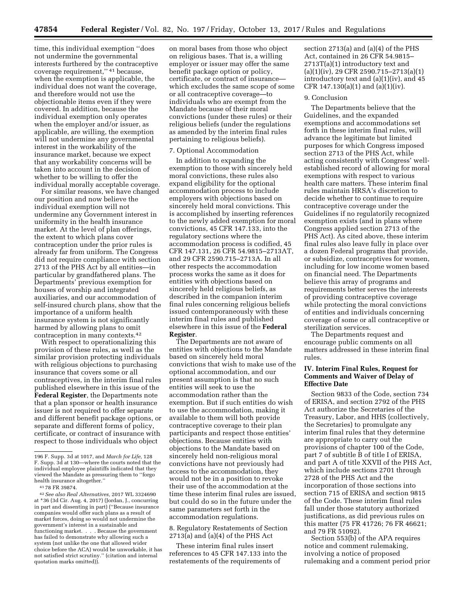time, this individual exemption ''does not undermine the governmental interests furthered by the contraceptive coverage requirement,'' 41 because, when the exemption is applicable, the individual does not want the coverage, and therefore would not use the objectionable items even if they were covered. In addition, because the individual exemption only operates when the employer and/or issuer, as applicable, are willing, the exemption will not undermine any governmental interest in the workability of the insurance market, because we expect that any workability concerns will be taken into account in the decision of whether to be willing to offer the individual morally acceptable coverage.

For similar reasons, we have changed our position and now believe the individual exemption will not undermine any Government interest in uniformity in the health insurance market. At the level of plan offerings, the extent to which plans cover contraception under the prior rules is already far from uniform. The Congress did not require compliance with section 2713 of the PHS Act by all entities—in particular by grandfathered plans. The Departments' previous exemption for houses of worship and integrated auxiliaries, and our accommodation of self-insured church plans, show that the importance of a uniform health insurance system is not significantly harmed by allowing plans to omit contraception in many contexts.42

With respect to operationalizing this provision of these rules, as well as the similar provision protecting individuals with religious objections to purchasing insurance that covers some or all contraceptives, in the interim final rules published elsewhere in this issue of the **Federal Register**, the Departments note that a plan sponsor or health insurance issuer is not required to offer separate and different benefit package options, or separate and different forms of policy, certificate, or contract of insurance with respect to those individuals who object

on moral bases from those who object on religious bases. That is, a willing employer or issuer may offer the same benefit package option or policy, certificate, or contract of insurance which excludes the same scope of some or all contraceptive coverage—to individuals who are exempt from the Mandate because of their moral convictions (under these rules) or their religious beliefs (under the regulations as amended by the interim final rules pertaining to religious beliefs).

### 7. Optional Accommodation

In addition to expanding the exemption to those with sincerely held moral convictions, these rules also expand eligibility for the optional accommodation process to include employers with objections based on sincerely held moral convictions. This is accomplished by inserting references to the newly added exemption for moral convictions, 45 CFR 147.133, into the regulatory sections where the accommodation process is codified, 45 CFR 147.131, 26 CFR 54.9815–2713AT, and 29 CFR 2590.715–2713A. In all other respects the accommodation process works the same as it does for entities with objections based on sincerely held religious beliefs, as described in the companion interim final rules concerning religious beliefs issued contemporaneously with these interim final rules and published elsewhere in this issue of the **Federal Register**.

The Departments are not aware of entities with objections to the Mandate based on sincerely held moral convictions that wish to make use of the optional accommodation, and our present assumption is that no such entities will seek to use the accommodation rather than the exemption. But if such entities do wish to use the accommodation, making it available to them will both provide contraceptive coverage to their plan participants and respect those entities' objections. Because entities with objections to the Mandate based on sincerely held non-religious moral convictions have not previously had access to the accommodation, they would not be in a position to revoke their use of the accommodation at the time these interim final rules are issued, but could do so in the future under the same parameters set forth in the accommodation regulations.

# 8. Regulatory Restatements of Section  $2713(a)$  and  $(a)(4)$  of the PHS Act

These interim final rules insert references to 45 CFR 147.133 into the restatements of the requirements of

section 2713(a) and (a)(4) of the PHS Act, contained in 26 CFR 54.9815– 2713T(a)(1) introductory text and (a)(1)(iv), 29 CFR 2590.715–2713(a)(1) introductory text and (a)(1)(iv), and 45 CFR 147.130(a)(1) and (a)(1)(iv).

#### 9. Conclusion

The Departments believe that the Guidelines, and the expanded exemptions and accommodations set forth in these interim final rules, will advance the legitimate but limited purposes for which Congress imposed section 2713 of the PHS Act, while acting consistently with Congress' wellestablished record of allowing for moral exemptions with respect to various health care matters. These interim final rules maintain HRSA's discretion to decide whether to continue to require contraceptive coverage under the Guidelines if no regulatorily recognized exemption exists (and in plans where Congress applied section 2713 of the PHS Act). As cited above, these interim final rules also leave fully in place over a dozen Federal programs that provide, or subsidize, contraceptives for women, including for low income women based on financial need. The Departments believe this array of programs and requirements better serves the interests of providing contraceptive coverage while protecting the moral convictions of entities and individuals concerning coverage of some or all contraceptive or sterilization services.

The Departments request and encourage public comments on all matters addressed in these interim final rules.

### **IV. Interim Final Rules, Request for Comments and Waiver of Delay of Effective Date**

Section 9833 of the Code, section 734 of ERISA, and section 2792 of the PHS Act authorize the Secretaries of the Treasury, Labor, and HHS (collectively, the Secretaries) to promulgate any interim final rules that they determine are appropriate to carry out the provisions of chapter 100 of the Code, part 7 of subtitle B of title I of ERISA, and part A of title XXVII of the PHS Act, which include sections 2701 through 2728 of the PHS Act and the incorporation of those sections into section 715 of ERISA and section 9815 of the Code. These interim final rules fall under those statutory authorized justifications, as did previous rules on this matter (75 FR 41726; 76 FR 46621; and 79 FR 51092).

Section 553(b) of the APA requires notice and comment rulemaking, involving a notice of proposed rulemaking and a comment period prior

<sup>196</sup> F. Supp. 3d at 1017, and *March for Life,* 128 F. Supp. 3d at 130—where the courts noted that the individual employee plaintiffs indicated that they viewed the Mandate as pressuring them to ''forgo health insurance altogether.''

<sup>41</sup> 78 FR 39874.

<sup>42</sup>*See also Real Alternatives,* 2017 WL 3324690 at \*36 (3d Cir. Aug. 4, 2017) (Jordan, J., concurring in part and dissenting in part) (''Because insurance companies would offer such plans as a result of market forces, doing so would not undermine the government's interest in a sustainable and functioning market. . . . Because the government has failed to demonstrate why allowing such a system (not unlike the one that allowed wider choice before the ACA) would be unworkable, it has not satisfied strict scrutiny.'' (citation and internal quotation marks omitted)).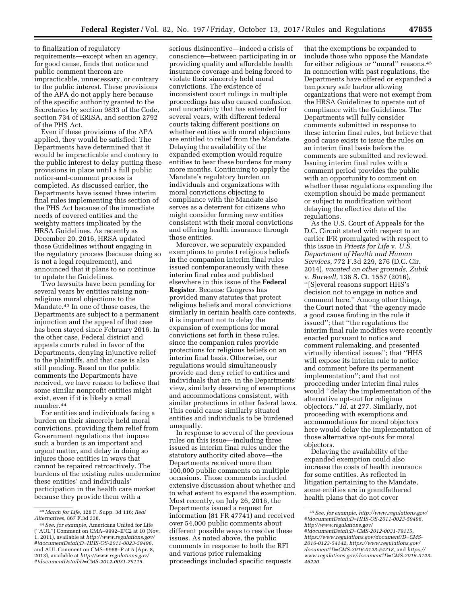to finalization of regulatory requirements—except when an agency, for good cause, finds that notice and public comment thereon are impracticable, unnecessary, or contrary to the public interest. These provisions of the APA do not apply here because of the specific authority granted to the Secretaries by section 9833 of the Code, section 734 of ERISA, and section 2792 of the PHS Act.

Even if these provisions of the APA applied, they would be satisfied: The Departments have determined that it would be impracticable and contrary to the public interest to delay putting these provisions in place until a full public notice-and-comment process is completed. As discussed earlier, the Departments have issued three interim final rules implementing this section of the PHS Act because of the immediate needs of covered entities and the weighty matters implicated by the HRSA Guidelines. As recently as December 20, 2016, HRSA updated those Guidelines without engaging in the regulatory process (because doing so is not a legal requirement), and announced that it plans to so continue to update the Guidelines.

Two lawsuits have been pending for several years by entities raising nonreligious moral objections to the Mandate.43 In one of those cases, the Departments are subject to a permanent injunction and the appeal of that case has been stayed since February 2016. In the other case, Federal district and appeals courts ruled in favor of the Departments, denying injunctive relief to the plaintiffs, and that case is also still pending. Based on the public comments the Departments have received, we have reason to believe that some similar nonprofit entities might exist, even if it is likely a small number.44

For entities and individuals facing a burden on their sincerely held moral convictions, providing them relief from Government regulations that impose such a burden is an important and urgent matter, and delay in doing so injures those entities in ways that cannot be repaired retroactively. The burdens of the existing rules undermine these entities' and individuals' participation in the health care market because they provide them with a

serious disincentive—indeed a crisis of conscience—between participating in or providing quality and affordable health insurance coverage and being forced to violate their sincerely held moral convictions. The existence of inconsistent court rulings in multiple proceedings has also caused confusion and uncertainty that has extended for several years, with different federal courts taking different positions on whether entities with moral objections are entitled to relief from the Mandate. Delaying the availability of the expanded exemption would require entities to bear these burdens for many more months. Continuing to apply the Mandate's regulatory burden on individuals and organizations with moral convictions objecting to compliance with the Mandate also serves as a deterrent for citizens who might consider forming new entities consistent with their moral convictions and offering health insurance through those entities.

Moreover, we separately expanded exemptions to protect religious beliefs in the companion interim final rules issued contemporaneously with these interim final rules and published elsewhere in this issue of the **Federal Register**. Because Congress has provided many statutes that protect religious beliefs and moral convictions similarly in certain health care contexts, it is important not to delay the expansion of exemptions for moral convictions set forth in these rules, since the companion rules provide protections for religious beliefs on an interim final basis. Otherwise, our regulations would simultaneously provide and deny relief to entities and individuals that are, in the Departments' view, similarly deserving of exemptions and accommodations consistent, with similar protections in other federal laws. This could cause similarly situated entities and individuals to be burdened unequally.

In response to several of the previous rules on this issue—including three issued as interim final rules under the statutory authority cited above—the Departments received more than 100,000 public comments on multiple occasions. Those comments included extensive discussion about whether and to what extent to expand the exemption. Most recently, on July 26, 2016, the Departments issued a request for information (81 FR 47741) and received over 54,000 public comments about different possible ways to resolve these issues. As noted above, the public comments in response to both the RFI and various prior rulemaking proceedings included specific requests

that the exemptions be expanded to include those who oppose the Mandate for either religious or ''moral'' reasons.45 In connection with past regulations, the Departments have offered or expanded a temporary safe harbor allowing organizations that were not exempt from the HRSA Guidelines to operate out of compliance with the Guidelines. The Departments will fully consider comments submitted in response to these interim final rules, but believe that good cause exists to issue the rules on an interim final basis before the comments are submitted and reviewed. Issuing interim final rules with a comment period provides the public with an opportunity to comment on whether these regulations expanding the exemption should be made permanent or subject to modification without delaying the effective date of the regulations.

As the U.S. Court of Appeals for the D.C. Circuit stated with respect to an earlier IFR promulgated with respect to this issue in *Priests for Life* v. *U.S. Department of Health and Human Services,* 772 F.3d 229, 276 (D.C. Cir. 2014), *vacated on other grounds, Zubik*  v. *Burwell,* 136 S. Ct. 1557 (2016), ''[S]everal reasons support HHS's decision not to engage in notice and comment here.'' Among other things, the Court noted that ''the agency made a good cause finding in the rule it issued''; that ''the regulations the interim final rule modifies were recently enacted pursuant to notice and comment rulemaking, and presented virtually identical issues''; that ''HHS will expose its interim rule to notice and comment before its permanent implementation''; and that not proceeding under interim final rules would ''delay the implementation of the alternative opt-out for religious objectors.'' *Id.* at 277. Similarly, not proceeding with exemptions and accommodations for moral objectors here would delay the implementation of those alternative opt-outs for moral objectors.

Delaying the availability of the expanded exemption could also increase the costs of health insurance for some entities. As reflected in litigation pertaining to the Mandate, some entities are in grandfathered health plans that do not cover

<sup>43</sup> *March for Life,* 128 F. Supp. 3d 116; *Real Alternatives,* 867 F.3d 338.

<sup>44</sup>*See, for example,* Americans United for Life (''AUL'') Comment on CMA–9992–IFC2 at 10 (Nov. 1, 2011), available at *[http://www.regulations.gov/](http://www.regulations.gov/#!documentDetail;D=HHS-OS-2011-0023-59496) [#!documentDetail;D=HHS-OS-2011-0023-59496,](http://www.regulations.gov/#!documentDetail;D=HHS-OS-2011-0023-59496)*  and AUL Comment on CMS–9968–P at 5 (Apr. 8, 2013), available at *[http://www.regulations.gov/](http://www.regulations.gov/#!documentDetail;D=CMS-2012-0031-79115) [#!documentDetail;D=CMS-2012-0031-79115.](http://www.regulations.gov/#!documentDetail;D=CMS-2012-0031-79115)* 

<sup>45</sup>*See, for example, [http://www.regulations.gov/](http://www.regulations.gov/#!documentDetail;D=HHS-OS-2011-0023-59496)  [#!documentDetail;D=HHS-OS-2011-0023-59496,](http://www.regulations.gov/#!documentDetail;D=HHS-OS-2011-0023-59496)  [http://www.regulations.gov/](http://www.regulations.gov/#!documentDetail;D=CMS-2012-0031-79115) [#!documentDetail;D=CMS-2012-0031-79115,](http://www.regulations.gov/#!documentDetail;D=CMS-2012-0031-79115)  [https://www.regulations.gov/document?D=CMS-](https://www.regulations.gov/document?D=CMS-2016-0123-54142)[2016-0123-54142,](https://www.regulations.gov/document?D=CMS-2016-0123-54142) [https://www.regulations.gov/](https://www.regulations.gov/document?D=CMS-2016-0123-54218) [document?D=CMS-2016-0123-54218](https://www.regulations.gov/document?D=CMS-2016-0123-54218),* and *[https://](https://www.regulations.gov/document?D=CMS-2016-0123-46220) [www.regulations.gov/document?D=CMS-2016-0123-](https://www.regulations.gov/document?D=CMS-2016-0123-46220) [46220.](https://www.regulations.gov/document?D=CMS-2016-0123-46220)*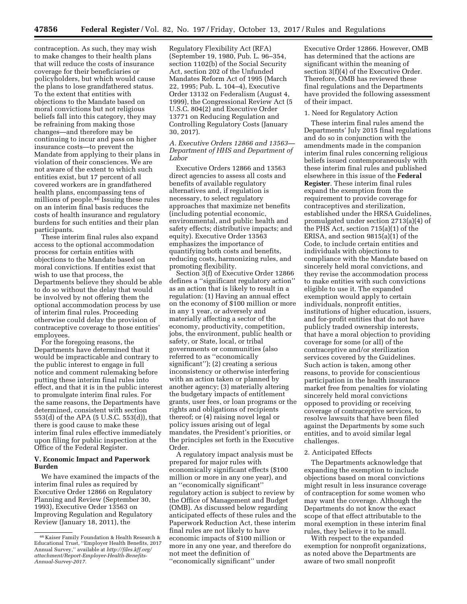contraception. As such, they may wish to make changes to their health plans that will reduce the costs of insurance coverage for their beneficiaries or policyholders, but which would cause the plans to lose grandfathered status. To the extent that entities with objections to the Mandate based on moral convictions but not religious beliefs fall into this category, they may be refraining from making those changes—and therefore may be continuing to incur and pass on higher insurance costs—to prevent the Mandate from applying to their plans in violation of their consciences. We are not aware of the extent to which such entities exist, but 17 percent of all covered workers are in grandfathered health plans, encompassing tens of millions of people.46 Issuing these rules on an interim final basis reduces the costs of health insurance and regulatory burdens for such entities and their plan participants.

These interim final rules also expand access to the optional accommodation process for certain entities with objections to the Mandate based on moral convictions. If entities exist that wish to use that process, the Departments believe they should be able to do so without the delay that would be involved by not offering them the optional accommodation process by use of interim final rules. Proceeding otherwise could delay the provision of contraceptive coverage to those entities' employees.

For the foregoing reasons, the Departments have determined that it would be impracticable and contrary to the public interest to engage in full notice and comment rulemaking before putting these interim final rules into effect, and that it is in the public interest to promulgate interim final rules. For the same reasons, the Departments have determined, consistent with section 553(d) of the APA (5 U.S.C. 553(d)), that there is good cause to make these interim final rules effective immediately upon filing for public inspection at the Office of the Federal Register.

### **V. Economic Impact and Paperwork Burden**

We have examined the impacts of the interim final rules as required by Executive Order 12866 on Regulatory Planning and Review (September 30, 1993), Executive Order 13563 on Improving Regulation and Regulatory Review (January 18, 2011), the

Regulatory Flexibility Act (RFA) (September 19, 1980, Pub. L. 96–354, section 1102(b) of the Social Security Act, section 202 of the Unfunded Mandates Reform Act of 1995 (March 22, 1995; Pub. L. 104–4), Executive Order 13132 on Federalism (August 4, 1999), the Congressional Review Act (5 U.S.C. 804(2) and Executive Order 13771 on Reducing Regulation and Controlling Regulatory Costs (January 30, 2017).

### *A. Executive Orders 12866 and 13563— Department of HHS and Department of Labor*

Executive Orders 12866 and 13563 direct agencies to assess all costs and benefits of available regulatory alternatives and, if regulation is necessary, to select regulatory approaches that maximize net benefits (including potential economic, environmental, and public health and safety effects; distributive impacts; and equity). Executive Order 13563 emphasizes the importance of quantifying both costs and benefits, reducing costs, harmonizing rules, and promoting flexibility.

Section 3(f) of Executive Order 12866 defines a ''significant regulatory action'' as an action that is likely to result in a regulation: (1) Having an annual effect on the economy of \$100 million or more in any 1 year, or adversely and materially affecting a sector of the economy, productivity, competition, jobs, the environment, public health or safety, or State, local, or tribal governments or communities (also referred to as ''economically significant''); (2) creating a serious inconsistency or otherwise interfering with an action taken or planned by another agency; (3) materially altering the budgetary impacts of entitlement grants, user fees, or loan programs or the rights and obligations of recipients thereof; or (4) raising novel legal or policy issues arising out of legal mandates, the President's priorities, or the principles set forth in the Executive Order.

A regulatory impact analysis must be prepared for major rules with economically significant effects (\$100 million or more in any one year), and an ''economically significant'' regulatory action is subject to review by the Office of Management and Budget (OMB). As discussed below regarding anticipated effects of these rules and the Paperwork Reduction Act, these interim final rules are not likely to have economic impacts of \$100 million or more in any one year, and therefore do not meet the definition of ''economically significant'' under

Executive Order 12866. However, OMB has determined that the actions are significant within the meaning of section 3(f)(4) of the Executive Order. Therefore, OMB has reviewed these final regulations and the Departments have provided the following assessment of their impact.

### 1. Need for Regulatory Action

These interim final rules amend the Departments' July 2015 final regulations and do so in conjunction with the amendments made in the companion interim final rules concerning religious beliefs issued contemporaneously with these interim final rules and published elsewhere in this issue of the **Federal Register**. These interim final rules expand the exemption from the requirement to provide coverage for contraceptives and sterilization, established under the HRSA Guidelines, promulgated under section 2713(a)(4) of the PHS Act, section 715(a)(1) of the ERISA, and section 9815(a)(1) of the Code, to include certain entities and individuals with objections to compliance with the Mandate based on sincerely held moral convictions, and they revise the accommodation process to make entities with such convictions eligible to use it. The expanded exemption would apply to certain individuals, nonprofit entities, institutions of higher education, issuers, and for-profit entities that do not have publicly traded ownership interests, that have a moral objection to providing coverage for some (or all) of the contraceptive and/or sterilization services covered by the Guidelines. Such action is taken, among other reasons, to provide for conscientious participation in the health insurance market free from penalties for violating sincerely held moral convictions opposed to providing or receiving coverage of contraceptive services, to resolve lawsuits that have been filed against the Departments by some such entities, and to avoid similar legal challenges.

### 2. Anticipated Effects

The Departments acknowledge that expanding the exemption to include objections based on moral convictions might result in less insurance coverage of contraception for some women who may want the coverage. Although the Departments do not know the exact scope of that effect attributable to the moral exemption in these interim final rules, they believe it to be small.

With respect to the expanded exemption for nonprofit organizations, as noted above the Departments are aware of two small nonprofit

<sup>46</sup> Kaiser Family Foundation & Health Research & Educational Trust, ''Employer Health Benefits, 2017 Annual Survey,'' available at *[http://files.kff.org/](http://files.kff.org/attachment/Report-Employer-Health-Benefits-Annual-Survey-2017) [attachment/Report-Employer-Health-Benefits-](http://files.kff.org/attachment/Report-Employer-Health-Benefits-Annual-Survey-2017)[Annual-Survey-2017.](http://files.kff.org/attachment/Report-Employer-Health-Benefits-Annual-Survey-2017)*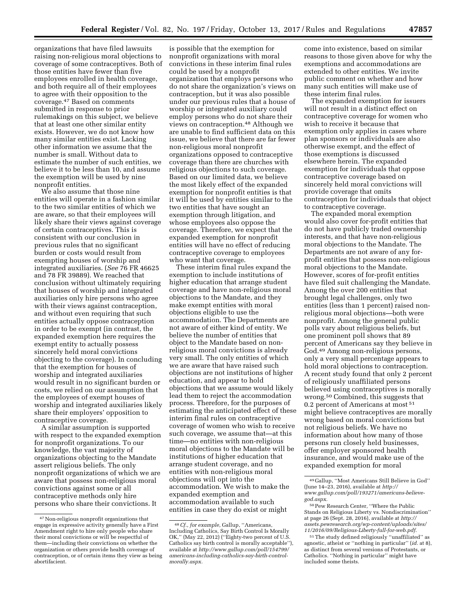organizations that have filed lawsuits raising non-religious moral objections to coverage of some contraceptives. Both of those entities have fewer than five employees enrolled in health coverage, and both require all of their employees to agree with their opposition to the coverage.47 Based on comments submitted in response to prior rulemakings on this subject, we believe that at least one other similar entity exists. However, we do not know how many similar entities exist. Lacking other information we assume that the number is small. Without data to estimate the number of such entities, we believe it to be less than 10, and assume the exemption will be used by nine nonprofit entities.

We also assume that those nine entities will operate in a fashion similar to the two similar entities of which we are aware, so that their employees will likely share their views against coverage of certain contraceptives. This is consistent with our conclusion in previous rules that no significant burden or costs would result from exempting houses of worship and integrated auxiliaries. (*See* 76 FR 46625 and 78 FR 39889). We reached that conclusion without ultimately requiring that houses of worship and integrated auxiliaries only hire persons who agree with their views against contraception, and without even requiring that such entities actually oppose contraception in order to be exempt (in contrast, the expanded exemption here requires the exempt entity to actually possess sincerely held moral convictions objecting to the coverage). In concluding that the exemption for houses of worship and integrated auxiliaries would result in no significant burden or costs, we relied on our assumption that the employees of exempt houses of worship and integrated auxiliaries likely share their employers' opposition to contraceptive coverage.

A similar assumption is supported with respect to the expanded exemption for nonprofit organizations. To our knowledge, the vast majority of organizations objecting to the Mandate assert religious beliefs. The only nonprofit organizations of which we are aware that possess non-religious moral convictions against some or all contraceptive methods only hire persons who share their convictions. It

is possible that the exemption for nonprofit organizations with moral convictions in these interim final rules could be used by a nonprofit organization that employs persons who do not share the organization's views on contraception, but it was also possible under our previous rules that a house of worship or integrated auxiliary could employ persons who do not share their views on contraception.48 Although we are unable to find sufficient data on this issue, we believe that there are far fewer non-religious moral nonprofit organizations opposed to contraceptive coverage than there are churches with religious objections to such coverage. Based on our limited data, we believe the most likely effect of the expanded exemption for nonprofit entities is that it will be used by entities similar to the two entities that have sought an exemption through litigation, and whose employees also oppose the coverage. Therefore, we expect that the expanded exemption for nonprofit entities will have no effect of reducing contraceptive coverage to employees who want that coverage.

These interim final rules expand the exemption to include institutions of higher education that arrange student coverage and have non-religious moral objections to the Mandate, and they make exempt entities with moral objections eligible to use the accommodation. The Departments are not aware of either kind of entity. We believe the number of entities that object to the Mandate based on nonreligious moral convictions is already very small. The only entities of which we are aware that have raised such objections are not institutions of higher education, and appear to hold objections that we assume would likely lead them to reject the accommodation process. Therefore, for the purposes of estimating the anticipated effect of these interim final rules on contraceptive coverage of women who wish to receive such coverage, we assume that—at this time—no entities with non-religious moral objections to the Mandate will be institutions of higher education that arrange student coverage, and no entities with non-religious moral objections will opt into the accommodation. We wish to make the expanded exemption and accommodation available to such entities in case they do exist or might

come into existence, based on similar reasons to those given above for why the exemptions and accommodations are extended to other entities. We invite public comment on whether and how many such entities will make use of these interim final rules.

The expanded exemption for issuers will not result in a distinct effect on contraceptive coverage for women who wish to receive it because that exemption only applies in cases where plan sponsors or individuals are also otherwise exempt, and the effect of those exemptions is discussed elsewhere herein. The expanded exemption for individuals that oppose contraceptive coverage based on sincerely held moral convictions will provide coverage that omits contraception for individuals that object to contraceptive coverage.

The expanded moral exemption would also cover for-profit entities that do not have publicly traded ownership interests, and that have non-religious moral objections to the Mandate. The Departments are not aware of any forprofit entities that possess non-religious moral objections to the Mandate. However, scores of for-profit entities have filed suit challenging the Mandate. Among the over 200 entities that brought legal challenges, only two entities (less than 1 percent) raised nonreligious moral objections—both were nonprofit. Among the general public polls vary about religious beliefs, but one prominent poll shows that 89 percent of Americans say they believe in God.49 Among non-religious persons, only a very small percentage appears to hold moral objections to contraception. A recent study found that only 2 percent of religiously unaffiliated persons believed using contraceptives is morally wrong.50 Combined, this suggests that 0.2 percent of Americans at most 51 might believe contraceptives are morally wrong based on moral convictions but not religious beliefs. We have no information about how many of those persons run closely held businesses, offer employer sponsored health insurance, and would make use of the expanded exemption for moral

<sup>47</sup>Non-religious nonprofit organizations that engage in expressive activity generally have a First Amendment right to hire only people who share their moral convictions or will be respectful of them—including their convictions on whether the organization or others provide health coverage of contraception, or of certain items they view as being abortifacient.

<sup>48</sup>*Cf., for example,* Gallup, ''Americans, Including Catholics, Say Birth Control Is Morally OK,'' (May 22, 2012) (''Eighty-two percent of U.S. Catholics say birth control is morally acceptable''), available at *[http://www.gallup.com/poll/154799/](http://www.gallup.com/poll/154799/americans-including-catholics-say-birth-control-morally.aspx)  [americans-including-catholics-say-birth-control](http://www.gallup.com/poll/154799/americans-including-catholics-say-birth-control-morally.aspx)[morally.aspx.](http://www.gallup.com/poll/154799/americans-including-catholics-say-birth-control-morally.aspx)* 

<sup>49</sup> Gallup, ''Most Americans Still Believe in God'' (June 14–23, 2016), available at *[http://](http://www.gallup.com/poll/193271/americans-believe-god.aspx)  [www.gallup.com/poll/193271/americans-believe](http://www.gallup.com/poll/193271/americans-believe-god.aspx)[god.aspx.](http://www.gallup.com/poll/193271/americans-believe-god.aspx)* 

<sup>50</sup>Pew Research Center, ''Where the Public Stands on Religious Liberty vs. Nondiscrimination'' at page 26 (Sept. 28, 2016), available at *[http://](http://assets.pewresearch.org/wp-content/uploads/sites/11/2016/09/Religious-Liberty-full-for-web.pdf) [assets.pewresearch.org/wp-content/uploads/sites/](http://assets.pewresearch.org/wp-content/uploads/sites/11/2016/09/Religious-Liberty-full-for-web.pdf) [11/2016/09/Religious-Liberty-full-for-web.pdf.](http://assets.pewresearch.org/wp-content/uploads/sites/11/2016/09/Religious-Liberty-full-for-web.pdf)* 

<sup>51</sup>The study defined religiously ''unaffiliated'' as agnostic, atheist or ''nothing in particular'' (*id.* at 8), as distinct from several versions of Protestants, or Catholics. ''Nothing in particular'' might have included some theists.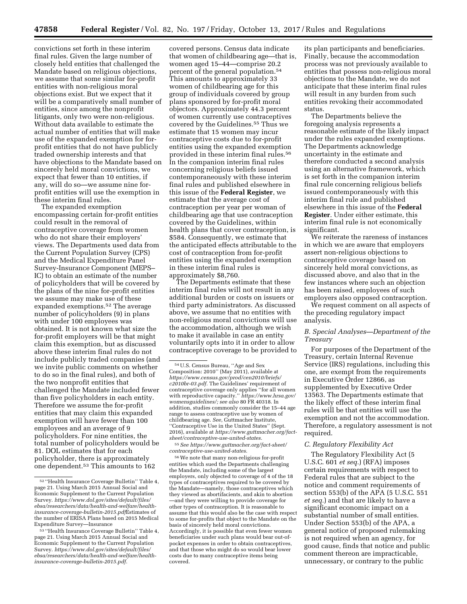convictions set forth in these interim final rules. Given the large number of closely held entities that challenged the Mandate based on religious objections, we assume that some similar for-profit entities with non-religious moral objections exist. But we expect that it will be a comparatively small number of entities, since among the nonprofit litigants, only two were non-religious. Without data available to estimate the actual number of entities that will make use of the expanded exemption for forprofit entities that do not have publicly traded ownership interests and that have objections to the Mandate based on sincerely held moral convictions, we expect that fewer than 10 entities, if any, will do so—we assume nine forprofit entities will use the exemption in these interim final rules.

The expanded exemption encompassing certain for-profit entities could result in the removal of contraceptive coverage from women who do not share their employers' views. The Departments used data from the Current Population Survey (CPS) and the Medical Expenditure Panel Survey-Insurance Component (MEPS– IC) to obtain an estimate of the number of policyholders that will be covered by the plans of the nine for-profit entities we assume may make use of these expanded exemptions.52 The average number of policyholders (9) in plans with under 100 employees was obtained. It is not known what size the for-profit employers will be that might claim this exemption, but as discussed above these interim final rules do not include publicly traded companies (and we invite public comments on whether to do so in the final rules), and both of the two nonprofit entities that challenged the Mandate included fewer than five policyholders in each entity. Therefore we assume the for-profit entities that may claim this expanded exemption will have fewer than 100 employees and an average of 9 policyholders. For nine entities, the total number of policyholders would be 81. DOL estimates that for each policyholder, there is approximately one dependent.<sup>53</sup> This amounts to 162

covered persons. Census data indicate that women of childbearing age—that is, women aged 15–44—comprise 20.2 percent of the general population.54 This amounts to approximately 33 women of childbearing age for this group of individuals covered by group plans sponsored by for-profit moral objectors. Approximately 44.3 percent of women currently use contraceptives covered by the Guidelines.<sup>55</sup> Thus we estimate that 15 women may incur contraceptive costs due to for-profit entities using the expanded exemption provided in these interim final rules.56 In the companion interim final rules concerning religious beliefs issued contemporaneously with these interim final rules and published elsewhere in this issue of the **Federal Register**, we estimate that the average cost of contraception per year per woman of childbearing age that use contraception covered by the Guidelines, within health plans that cover contraception, is \$584. Consequently, we estimate that the anticipated effects attributable to the cost of contraception from for-profit entities using the expanded exemption in these interim final rules is approximately \$8,760.

The Departments estimate that these interim final rules will not result in any additional burden or costs on issuers or third party administrators. As discussed above, we assume that no entities with non-religious moral convictions will use the accommodation, although we wish to make it available in case an entity voluntarily opts into it in order to allow contraceptive coverage to be provided to

55*See [https://www.guttmacher.org/fact-sheet/](https://www.guttmacher.org/fact-sheet/contraceptive-use-united-states) [contraceptive-use-united-states.](https://www.guttmacher.org/fact-sheet/contraceptive-use-united-states)* 

56We note that many non-religious for-profit entities which sued the Departments challenging the Mandate, including some of the largest employers, only objected to coverage of 4 of the 18 types of contraceptives required to be covered by the Mandate—namely, those contraceptives which they viewed as abortifacients, and akin to abortion —and they were willing to provide coverage for other types of contraception. It is reasonable to assume that this would also be the case with respect to some for-profits that object to the Mandate on the basis of sincerely held moral convictions. Accordingly, it is possible that even fewer women beneficiaries under such plans would bear out-ofpocket expenses in order to obtain contraceptives, and that those who might do so would bear lower costs due to many contraceptive items being covered.

its plan participants and beneficiaries. Finally, because the accommodation process was not previously available to entities that possess non-religious moral objections to the Mandate, we do not anticipate that these interim final rules will result in any burden from such entities revoking their accommodated status.

The Departments believe the foregoing analysis represents a reasonable estimate of the likely impact under the rules expanded exemptions. The Departments acknowledge uncertainty in the estimate and therefore conducted a second analysis using an alternative framework, which is set forth in the companion interim final rule concerning religious beliefs issued contemporaneously with this interim final rule and published elsewhere in this issue of the **Federal Register**. Under either estimate, this interim final rule is not economically significant.

We reiterate the rareness of instances in which we are aware that employers assert non-religious objections to contraceptive coverage based on sincerely held moral convictions, as discussed above, and also that in the few instances where such an objection has been raised, employees of such employers also opposed contraception.

We request comment on all aspects of the preceding regulatory impact analysis.

# *B. Special Analyses—Department of the Treasury*

For purposes of the Department of the Treasury, certain Internal Revenue Service (IRS) regulations, including this one, are exempt from the requirements in Executive Order 12866, as supplemented by Executive Order 13563. The Departments estimate that the likely effect of these interim final rules will be that entities will use the exemption and not the accommodation. Therefore, a regulatory assessment is not required.

### *C. Regulatory Flexibility Act*

The Regulatory Flexibility Act (5 U.S.C. 601 *et seq.*) (RFA) imposes certain requirements with respect to Federal rules that are subject to the notice and comment requirements of section 553(b) of the APA (5 U.S.C. 551 *et seq.*) and that are likely to have a significant economic impact on a substantial number of small entities. Under Section 553(b) of the APA, a general notice of proposed rulemaking is not required when an agency, for good cause, finds that notice and public comment thereon are impracticable, unnecessary, or contrary to the public

<sup>52</sup> ''Health Insurance Coverage Bulletin'' Table 4, page 21. Using March 2015 Annual Social and Economic Supplement to the Current Population Survey. *[https://www.dol.gov/sites/default/files/](https://www.dol.gov/sites/default/files/ebsa/researchers/data/health-and-welfare/health-insurance-coverage-bulletin-2015.pdfEstimates)  [ebsa/researchers/data/health-and-welfare/health](https://www.dol.gov/sites/default/files/ebsa/researchers/data/health-and-welfare/health-insurance-coverage-bulletin-2015.pdfEstimates)[insurance-coverage-bulletin-2015.pdf](https://www.dol.gov/sites/default/files/ebsa/researchers/data/health-and-welfare/health-insurance-coverage-bulletin-2015.pdfEstimates)*Estimates of the number of ERISA Plans based on 2015 Medical Expenditure Survey—Insurance

<sup>53</sup> ''Health Insurance Coverage Bulletin'' Table 4, page 21. Using March 2015 Annual Social and Economic Supplement to the Current Population Survey. *[https://www.dol.gov/sites/default/files/](https://www.dol.gov/sites/default/files/ebsa/researchers/data/health-and-welfare/health-insurance-coverage-bulletin-2015.pdf)  [ebsa/researchers/data/health-and-welfare/health](https://www.dol.gov/sites/default/files/ebsa/researchers/data/health-and-welfare/health-insurance-coverage-bulletin-2015.pdf)[insurance-coverage-bulletin-2015.pdf.](https://www.dol.gov/sites/default/files/ebsa/researchers/data/health-and-welfare/health-insurance-coverage-bulletin-2015.pdf)* 

<sup>54</sup>U.S. Census Bureau, ''Age and Sex Composition: 2010'' (May 2011), available at *[https://www.census.gov/prod/cen2010/briefs/](https://www.census.gov/prod/cen2010/briefs/c2010br-03.pdf) [c2010br-03.pdf.](https://www.census.gov/prod/cen2010/briefs/c2010br-03.pdf)* The Guidelines' requirement of contraceptive coverage only applies ''for all women with reproductive capacity.'' *[https://www.hrsa.gov/](https://www.hrsa.gov/womensguidelines/)  [womensguidelines/;](https://www.hrsa.gov/womensguidelines/) see also* 80 FR 40318. In addition, studies commonly consider the 15–44 age range to assess contraceptive use by women of childbearing age. *See,* Guttmacher Institute, ''Contraceptive Use in the United States'' (Sept. 2016), available at *[https://www.guttmacher.org/fact](https://www.guttmacher.org/fact-sheet/contraceptive-use-united-states)[sheet/contraceptive-use-united-states.](https://www.guttmacher.org/fact-sheet/contraceptive-use-united-states)*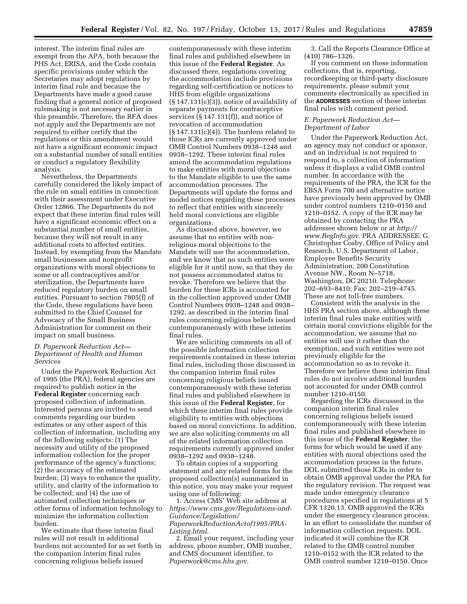interest. The interim final rules are exempt from the APA, both because the PHS Act, ERISA, and the Code contain specific provisions under which the Secretaries may adopt regulations by interim final rule and because the Departments have made a good cause finding that a general notice of proposed rulemaking is not necessary earlier in this preamble. Therefore, the RFA does not apply and the Departments are not required to either certify that the regulations or this amendment would not have a significant economic impact on a substantial number of small entities or conduct a regulatory flexibility analysis.

Nevertheless, the Departments carefully considered the likely impact of the rule on small entities in connection with their assessment under Executive Order 12866. The Departments do not expect that these interim final rules will have a significant economic effect on a substantial number of small entities, because they will not result in any additional costs to affected entities. Instead, by exempting from the Mandate small businesses and nonprofit organizations with moral objections to some or all contraceptives and/or sterilization, the Departments have reduced regulatory burden on small entities. Pursuant to section 7805(f) of the Code, these regulations have been submitted to the Chief Counsel for Advocacy of the Small Business Administration for comment on their impact on small business.

## *D. Paperwork Reduction Act— Department of Health and Human Services*

Under the Paperwork Reduction Act of 1995 (the PRA), federal agencies are required to publish notice in the **Federal Register** concerning each proposed collection of information. Interested persons are invited to send comments regarding our burden estimates or any other aspect of this collection of information, including any of the following subjects: (1) The necessity and utility of the proposed information collection for the proper performance of the agency's functions; (2) the accuracy of the estimated burden; (3) ways to enhance the quality, utility, and clarity of the information to be collected; and (4) the use of automated collection techniques or other forms of information technology to minimize the information collection burden.

We estimate that these interim final rules will not result in additional burdens not accounted for as set forth in the companion interim final rules concerning religious beliefs issued

contemporaneously with these interim final rules and published elsewhere in this issue of the **Federal Register**. As discussed there, regulations covering the accommodation include provisions regarding self-certification or notices to HHS from eligible organizations (§ 147.131(c)(3)), notice of availability of separate payments for contraceptive services (§ 147.131(f)), and notice of revocation of accommodation  $(\S 147.131(c)(4))$ . The burdens related to those ICRs are currently approved under OMB Control Numbers 0938–1248 and 0938–1292. These interim final rules amend the accommodation regulations to make entities with moral objections to the Mandate eligible to use the same accommodation processes. The Departments will update the forms and model notices regarding these processes to reflect that entities with sincerely held moral convictions are eligible organizations.

As discussed above, however, we assume that no entities with nonreligious moral objections to the Mandate will use the accommodation, and we know that no such entities were eligible for it until now, so that they do not possess accommodated status to revoke. Therefore we believe that the burden for these ICRs is accounted for in the collection approved under OMB Control Numbers 0938–1248 and 0938– 1292, as described in the interim final rules concerning religious beliefs issued contemporaneously with these interim final rules.

We are soliciting comments on all of the possible information collection requirements contained in these interim final rules, including those discussed in the companion interim final rules concerning religious beliefs issued contemporaneously with these interim final rules and published elsewhere in this issue of the **Federal Register**, for which these interim final rules provide eligibility to entities with objections based on moral convictions. In addition, we are also soliciting comments on all of the related information collection requirements currently approved under 0938–1292 and 0938–1248.

To obtain copies of a supporting statement and any related forms for the proposed collection(s) summarized in this notice, you may make your request using one of following:

1. Access CMS' Web site address at *[https://www.cms.gov/Regulations-and-](https://www.cms.gov/Regulations-and-Guidance/Legislation/PaperworkReductionActof1995/PRA-Listing.html)[Guidance/Legislation/](https://www.cms.gov/Regulations-and-Guidance/Legislation/PaperworkReductionActof1995/PRA-Listing.html)  [PaperworkReductionActof1995/PRA-](https://www.cms.gov/Regulations-and-Guidance/Legislation/PaperworkReductionActof1995/PRA-Listing.html)[Listing.html](https://www.cms.gov/Regulations-and-Guidance/Legislation/PaperworkReductionActof1995/PRA-Listing.html)*.

2. Email your request, including your address, phone number, OMB number, and CMS document identifier, to *[Paperwork@cms.hhs.gov.](mailto:Paperwork@cms.hhs.gov)* 

3. Call the Reports Clearance Office at (410) 786–1326.

If you comment on these information collections, that is, reporting, recordkeeping or third-party disclosure requirements, please submit your comments electronically as specified in the **ADDRESSES** section of these interim final rules with comment period.

## *E. Paperwork Reduction Act— Department of Labor*

Under the Paperwork Reduction Act, an agency may not conduct or sponsor, and an individual is not required to respond to, a collection of information unless it displays a valid OMB control number. In accordance with the requirements of the PRA, the ICR for the EBSA Form 700 and alternative notice have previously been approved by OMB under control numbers 1210–0150 and 1210–0152. A copy of the ICR may be obtained by contacting the PRA addressee shown below or at *[http://](http://www.RegInfo.gov)  [www.RegInfo.gov.](http://www.RegInfo.gov)* PRA ADDRESSEE: G. Christopher Cosby, Office of Policy and Research, U.S. Department of Labor, Employee Benefits Security Administration, 200 Constitution Avenue NW., Room N–5718, Washington, DC 20210. Telephone: 202–693–8410; Fax: 202–219–4745. These are not toll-free numbers.

Consistent with the analysis in the HHS PRA section above, although these interim final rules make entities with certain moral convictions eligible for the accommodation, we assume that no entities will use it rather than the exemption, and such entities were not previously eligible for the accommodation so as to revoke it. Therefore we believe these interim final rules do not involve additional burden not accounted for under OMB control number 1210–0150.

Regarding the ICRs discussed in the companion interim final rules concerning religious beliefs issued contemporaneously with these interim final rules and published elsewhere in this issue of the **Federal Register**, the forms for which would be used if any entities with moral objections used the accommodation process in the future, DOL submitted those ICRs in order to obtain OMB approval under the PRA for the regulatory revision. The request was made under emergency clearance procedures specified in regulations at 5 CFR 1320.13. OMB approved the ICRs under the emergency clearance process. In an effort to consolidate the number of information collection requests, DOL indicated it will combine the ICR related to the OMB control number 1210–0152 with the ICR related to the OMB control number 1210–0150. Once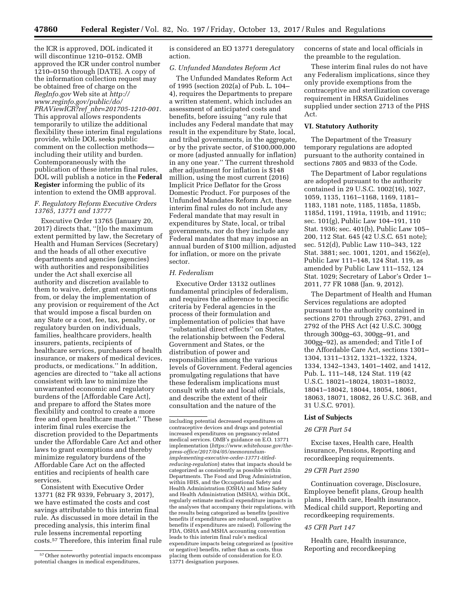the ICR is approved, DOL indicated it will discontinue 1210–0152. OMB approved the ICR under control number 1210–0150 through [DATE]. A copy of the information collection request may be obtained free of charge on the *RegInfo.gov* Web site at *[http://](http://www.reginfo.gov/public/do/PRAViewICR?ref_nbr=201705-1210-001) [www.reginfo.gov/public/do/](http://www.reginfo.gov/public/do/PRAViewICR?ref_nbr=201705-1210-001)  PRAViewICR?ref*\_*[nbr=201705-1210-001.](http://www.reginfo.gov/public/do/PRAViewICR?ref_nbr=201705-1210-001)*  This approval allows respondents temporarily to utilize the additional flexibility these interim final regulations provide, while DOL seeks public comment on the collection methods including their utility and burden. Contemporaneously with the publication of these interim final rules, DOL will publish a notice in the **Federal Register** informing the public of its intention to extend the OMB approval.

## *F. Regulatory Reform Executive Orders 13765, 13771 and 13777*

Executive Order 13765 (January 20, 2017) directs that, ''[t]o the maximum extent permitted by law, the Secretary of Health and Human Services (Secretary) and the heads of all other executive departments and agencies (agencies) with authorities and responsibilities under the Act shall exercise all authority and discretion available to them to waive, defer, grant exemptions from, or delay the implementation of any provision or requirement of the Act that would impose a fiscal burden on any State or a cost, fee, tax, penalty, or regulatory burden on individuals, families, healthcare providers, health insurers, patients, recipients of healthcare services, purchasers of health insurance, or makers of medical devices, products, or medications.'' In addition, agencies are directed to ''take all actions consistent with law to minimize the unwarranted economic and regulatory burdens of the [Affordable Care Act], and prepare to afford the States more flexibility and control to create a more free and open healthcare market.'' These interim final rules exercise the discretion provided to the Departments under the Affordable Care Act and other laws to grant exemptions and thereby minimize regulatory burdens of the Affordable Care Act on the affected entities and recipients of health care services.

Consistent with Executive Order 13771 (82 FR 9339, February 3, 2017), we have estimated the costs and cost savings attributable to this interim final rule. As discussed in more detail in the preceding analysis, this interim final rule lessens incremental reporting costs.57 Therefore, this interim final rule is considered an EO 13771 deregulatory action.

## *G. Unfunded Mandates Reform Act*

The Unfunded Mandates Reform Act of 1995 (section 202(a) of Pub. L. 104– 4), requires the Departments to prepare a written statement, which includes an assessment of anticipated costs and benefits, before issuing ''any rule that includes any Federal mandate that may result in the expenditure by State, local, and tribal governments, in the aggregate, or by the private sector, of \$100,000,000 or more (adjusted annually for inflation) in any one year.'' The current threshold after adjustment for inflation is \$148 million, using the most current (2016) Implicit Price Deflator for the Gross Domestic Product. For purposes of the Unfunded Mandates Reform Act, these interim final rules do not include any Federal mandate that may result in expenditures by State, local, or tribal governments, nor do they include any Federal mandates that may impose an annual burden of \$100 million, adjusted for inflation, or more on the private sector.

### *H. Federalism*

Executive Order 13132 outlines fundamental principles of federalism, and requires the adherence to specific criteria by Federal agencies in the process of their formulation and implementation of policies that have ''substantial direct effects'' on States, the relationship between the Federal Government and States, or the distribution of power and responsibilities among the various levels of Government. Federal agencies promulgating regulations that have these federalism implications must consult with state and local officials, and describe the extent of their consultation and the nature of the

concerns of state and local officials in the preamble to the regulation.

These interim final rules do not have any Federalism implications, since they only provide exemptions from the contraceptive and sterilization coverage requirement in HRSA Guidelines supplied under section 2713 of the PHS Act.

### **VI. Statutory Authority**

The Department of the Treasury temporary regulations are adopted pursuant to the authority contained in sections 7805 and 9833 of the Code.

The Department of Labor regulations are adopted pursuant to the authority contained in 29 U.S.C. 1002(16), 1027, 1059, 1135, 1161–1168, 1169, 1181– 1183, 1181 note, 1185, 1185a, 1185b, 1185d, 1191, 1191a, 1191b, and 1191c; sec. 101(g), Public Law 104–191, 110 Stat. 1936; sec. 401(b), Public Law 105– 200, 112 Stat. 645 (42 U.S.C. 651 note); sec. 512(d), Public Law 110–343, 122 Stat. 3881; sec. 1001, 1201, and 1562(e), Public Law 111–148, 124 Stat. 119, as amended by Public Law 111–152, 124 Stat. 1029; Secretary of Labor's Order 1– 2011, 77 FR 1088 (Jan. 9, 2012).

The Department of Health and Human Services regulations are adopted pursuant to the authority contained in sections 2701 through 2763, 2791, and 2792 of the PHS Act (42 U.S.C. 300gg through 300gg–63, 300gg–91, and 300gg–92), as amended; and Title I of the Affordable Care Act, sections 1301– 1304, 1311–1312, 1321–1322, 1324, 1334, 1342–1343, 1401–1402, and 1412, Pub. L. 111–148, 124 Stat. 119 (42 U.S.C. 18021–18024, 18031–18032, 18041–18042, 18044, 18054, 18061, 18063, 18071, 18082, 26 U.S.C. 36B, and 31 U.S.C. 9701).

#### **List of Subjects**

#### *26 CFR Part 54*

Excise taxes, Health care, Health insurance, Pensions, Reporting and recordkeeping requirements.

### *29 CFR Part 2590*

Continuation coverage, Disclosure, Employee benefit plans, Group health plans, Health care, Health insurance, Medical child support, Reporting and recordkeeping requirements.

# *45 CFR Part 147*

Health care, Health insurance, Reporting and recordkeeping

<sup>57</sup>Other noteworthy potential impacts encompass potential changes in medical expenditures,

including potential decreased expenditures on contraceptive devices and drugs and potential increased expenditures on pregnancy-related medical services. OMB's guidance on E.O. 13771 implementation (*[https://www.whitehouse.gov/the](https://www.whitehouse.gov/the-press-office/2017/04/05/memorandum-implementing-executive-order-13771-titled-reducing-regulation)[press-office/2017/04/05/memorandum](https://www.whitehouse.gov/the-press-office/2017/04/05/memorandum-implementing-executive-order-13771-titled-reducing-regulation)[implementing-executive-order-13771-titled](https://www.whitehouse.gov/the-press-office/2017/04/05/memorandum-implementing-executive-order-13771-titled-reducing-regulation)[reducing-regulation](https://www.whitehouse.gov/the-press-office/2017/04/05/memorandum-implementing-executive-order-13771-titled-reducing-regulation)*) states that impacts should be categorized as consistently as possible within Departments. The Food and Drug Administration, within HHS, and the Occupational Safety and Health Administration (OSHA) and Mine Safety and Health Administration (MSHA), within DOL, regularly estimate medical expenditure impacts in the analyses that accompany their regulations, with the results being categorized as benefits (positive benefits if expenditures are reduced, negative benefits if expenditures are raised). Following the FDA, OSHA and MSHA accounting convention leads to this interim final rule's medical expenditure impacts being categorized as (positive or negative) benefits, rather than as costs, thus placing them outside of consideration for E.O. 13771 designation purposes.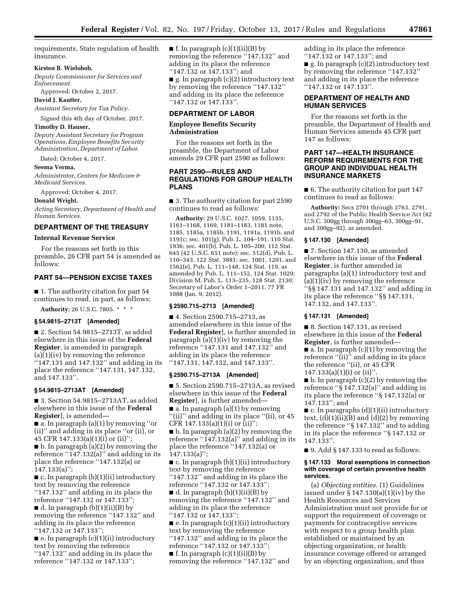requirements, State regulation of health insurance.

### **Kirsten B. Wielobob,**

*Deputy Commissioner for Services and Enforcement.* 

Approved: October 2, 2017.

**David J. Kautter,** 

*Assistant Secretary for Tax Policy.* 

Signed this 4th day of October, 2017.

# **Timothy D. Hauser,**

*Deputy Assistant Secretary for Program Operations, Employee Benefits Security Administration, Department of Labor.* 

Dated: October 4, 2017.

#### **Seema Verma,**

*Administrator, Centers for Medicare & Medicaid Services.* 

Approved: October 4, 2017.

### **Donald Wright,**

*Acting Secretary, Department of Health and Human Services.* 

# **DEPARTMENT OF THE TREASURY**

# **Internal Revenue Service**

For the reasons set forth in this preamble, 26 CFR part 54 is amended as follows:

# **PART 54—PENSION EXCISE TAXES**

■ 1. The authority citation for part 54 continues to read, in part, as follows:

**Authority:** 26 U.S.C. 7805. \* \* \*

# **§ 54.9815–2713T [Amended]**

■ 2. Section 54.9815–2713T, as added elsewhere in this issue of the **Federal Register**, is amended in paragraph (a)(1)(iv) by removing the reference '147.131 and 147.132" and adding in its place the reference ''147.131, 147.132, and 147.133''.

### **§ 54.9815–2713AT [Amended]**

■ 3. Section 54.9815–2713AT, as added elsewhere in this issue of the **Federal Register**], is amended—

■ a. In paragraph (a)(1) by removing ''or (ii)'' and adding in its place ''or (ii), or 45 CFR 147.133(a)(1)(i) or (ii)'';

■ b. In paragraph (a)(2) by removing the reference " $147.132(a)$ " and adding in its place the reference ''147.132(a) or 147.133(a)'';

 $\blacksquare$  c. In paragraph (b)(1)(ii) introductory text by removing the reference ''147.132'' and adding in its place the reference ''147.132 or 147.133'';

 $\blacksquare$  d. In paragraph (b)(1)(ii)(B) by removing the reference ''147.132'' and adding in its place the reference ''147.132 or 147.133'';

 $\blacksquare$  e. In paragraph  $(c)(1)(ii)$  introductory text by removing the reference ''147.132'' and adding in its place the reference ''147.132 or 147.133'';

 $\blacksquare$  f. In paragraph (c)(1)(ii)(B) by removing the reference ''147.132'' and adding in its place the reference ''147.132 or 147.133''; and

■ g. In paragraph (c)(2) introductory text by removing the reference ''147.132'' and adding in its place the reference ''147.132 or 147.133''.

### **DEPARTMENT OF LABOR**

# **Employee Benefits Security Administration**

For the reasons set forth in the preamble, the Department of Labor amends 29 CFR part 2590 as follows:

# **PART 2590—RULES AND REGULATIONS FOR GROUP HEALTH PLANS**

■ 3. The authority citation for part 2590 continues to read as follows:

**Authority:** 29 U.S.C. 1027, 1059, 1135, 1161–1168, 1169, 1181–1183, 1181 note, 1185, 1185a, 1185b, 1191, 1191a, 1191b, and 1191c; sec. 101(g), Pub. L. 104–191, 110 Stat. 1936; sec. 401(b), Pub. L. 105–200, 112 Stat. 645 (42 U.S.C. 651 note); sec. 512(d), Pub. L. 110–343, 122 Stat. 3881; sec. 1001, 1201, and 1562(e), Pub. L. 111–148, 124 Stat. 119, as amended by Pub. L. 111–152, 124 Stat. 1029; Division M, Pub. L. 113–235, 128 Stat. 2130; Secretary of Labor's Order 1–2011, 77 FR 1088 (Jan. 9, 2012).

### **§ 2590.715–2713 [Amended]**

■ 4. Section 2590.715–2713, as amended elsewhere in this issue of the **Federal Register**], is further amended in paragraph (a)(1)(iv) by removing the reference ''147.131 and 147.132'' and adding in its place the reference ''147.131, 147.132, and 147.133''.

#### **§ 2590.715–2713A [Amended]**

■ 5. Section 2590.715–2713A, as revised elsewhere in this issue of the **Federal Register**], is further amended—

 $\blacksquare$  a. In paragraph (a)(1) by removing "(ii)" and adding in its place "(ii), or 45 CFR 147.133(a)(1)(i) or (ii)'';

 $\blacksquare$  b. In paragraph (a)(2) by removing the reference ''147.132(a)'' and adding in its place the reference ''147.132(a) or 147.133(a)'';

■ c. In paragraph (b)(1)(ii) introductory text by removing the reference ''147.132'' and adding in its place the reference ''147.132 or 147.133'';

 $\blacksquare$  d. In paragraph (b)(1)(ii)(B) by removing the reference ''147.132'' and adding in its place the reference ''147.132 or 147.133'';

 $\blacksquare$  e. In paragraph (c)(1)(ii) introductory text by removing the reference ''147.132'' and adding in its place the reference ''147.132 or 147.133'';  $\blacksquare$  f. In paragraph (c)(1)(ii)(B) by removing the reference ''147.132'' and

adding in its place the reference ''147.132 or 147.133''; and  $\blacksquare$  g. In paragraph (c)(2) introductory text by removing the reference ''147.132'' and adding in its place the reference ''147.132 or 147.133''.

### **DEPARTMENT OF HEALTH AND HUMAN SERVICES**

For the reasons set forth in the preamble, the Department of Health and Human Services amends 45 CFR part 147 as follows:

# **PART 147—HEALTH INSURANCE REFORM REQUIREMENTS FOR THE GROUP AND INDIVIDUAL HEALTH INSURANCE MARKETS**

■ 6. The authority citation for part 147 continues to read as follows:

**Authority:** Secs 2701 through 2763, 2791, and 2792 of the Public Health Service Act (42 U.S.C. 300gg through 300gg–63, 300gg–91, and 300gg–92), as amended.

#### **§ 147.130 [Amended]**

■ 7. Section 147.130, as amended elsewhere in this issue of the **Federal Register**, is further amended in paragraphs (a)(1) introductory text and (a)(1)(iv) by removing the reference ''§§ 147.131 and 147.132'' and adding in its place the reference ''§§ 147.131, 147.132, and 147.133''.

### **§ 147.131 [Amended]**

■ 8. Section 147.131, as revised elsewhere in this issue of the **Federal Register**, is further amended—

 $\blacksquare$  a. In paragraph (c)(1) by removing the reference ''(ii)'' and adding in its place the reference ''(ii), or 45 CFR  $147.133(a)(1)(i)$  or  $(ii)$ "

 $\blacksquare$  b. In paragraph (c)(2) by removing the reference ''§ 147.132(a)'' and adding in its place the reference ''§ 147.132(a) or 147.133''; and

■ c. In paragraphs (d)(1)(ii) introductory text,  $(d)(1)(ii)(B)$  and  $(d)(2)$  by removing the reference ''§ 147.132'' and to adding in its place the reference ''§ 147.132 or 147.133''.

 $\blacksquare$  9. Add § 147.133 to read as follows:

#### **§ 147.133 Moral exemptions in connection with coverage of certain preventive health services.**

(a) *Objecting entities.* (1) Guidelines issued under § 147.130(a)(1)(iv) by the Health Resources and Services Administration must not provide for or support the requirement of coverage or payments for contraceptive services with respect to a group health plan established or maintained by an objecting organization, or health insurance coverage offered or arranged by an objecting organization, and thus